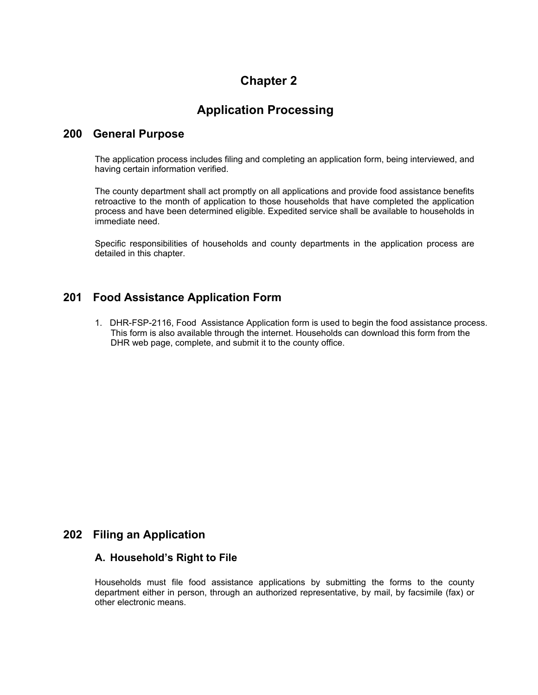# **Chapter 2**

# **Application Processing**

### **200 General Purpose**

The application process includes filing and completing an application form, being interviewed, and having certain information verified.

The county department shall act promptly on all applications and provide food assistance benefits retroactive to the month of application to those households that have completed the application process and have been determined eligible. Expedited service shall be available to households in immediate need.

Specific responsibilities of households and county departments in the application process are detailed in this chapter.

## **201 Food Assistance Application Form**

1. DHR-FSP-2116, Food Assistance Application form is used to begin the food assistance process. This form is also available through the internet. Households can download this form from the DHR web page, complete, and submit it to the county office.

## **202 Filing an Application**

### **A. Household's Right to File**

Households must file food assistance applications by submitting the forms to the county department either in person, through an authorized representative, by mail, by facsimile (fax) or other electronic means.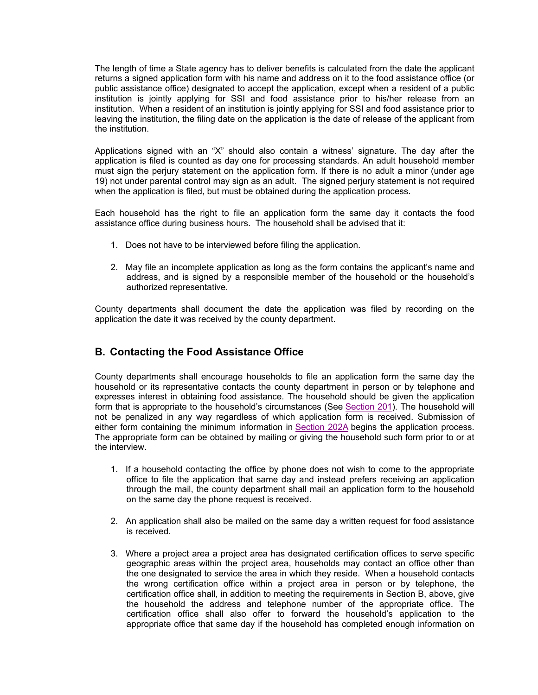The length of time a State agency has to deliver benefits is calculated from the date the applicant returns a signed application form with his name and address on it to the food assistance office (or public assistance office) designated to accept the application, except when a resident of a public institution is jointly applying for SSI and food assistance prior to his/her release from an institution. When a resident of an institution is jointly applying for SSI and food assistance prior to leaving the institution, the filing date on the application is the date of release of the applicant from the institution.

Applications signed with an "X" should also contain a witness' signature. The day after the application is filed is counted as day one for processing standards. An adult household member must sign the perjury statement on the application form. If there is no adult a minor (under age 19) not under parental control may sign as an adult. The signed perjury statement is not required when the application is filed, but must be obtained during the application process.

Each household has the right to file an application form the same day it contacts the food assistance office during business hours. The household shall be advised that it:

- 1. Does not have to be interviewed before filing the application.
- 2. May file an incomplete application as long as the form contains the applicant's name and address, and is signed by a responsible member of the household or the household's authorized representative.

County departments shall document the date the application was filed by recording on the application the date it was received by the county department.

## **B. Contacting the Food Assistance Office**

County departments shall encourage households to file an application form the same day the household or its representative contacts the county department in person or by telephone and expresses interest in obtaining food assistance. The household should be given the application form that is appropriate to the household's circumstances (See Section 201). The household will not be penalized in any way regardless of which application form is received. Submission of either form containing the minimum information in Section 202A begins the application process. The appropriate form can be obtained by mailing or giving the household such form prior to or at the interview.

- 1. If a household contacting the office by phone does not wish to come to the appropriate office to file the application that same day and instead prefers receiving an application through the mail, the county department shall mail an application form to the household on the same day the phone request is received.
- 2. An application shall also be mailed on the same day a written request for food assistance is received.
- 3. Where a project area a project area has designated certification offices to serve specific geographic areas within the project area, households may contact an office other than the one designated to service the area in which they reside. When a household contacts the wrong certification office within a project area in person or by telephone, the certification office shall, in addition to meeting the requirements in Section B, above, give the household the address and telephone number of the appropriate office. The certification office shall also offer to forward the household's application to the appropriate office that same day if the household has completed enough information on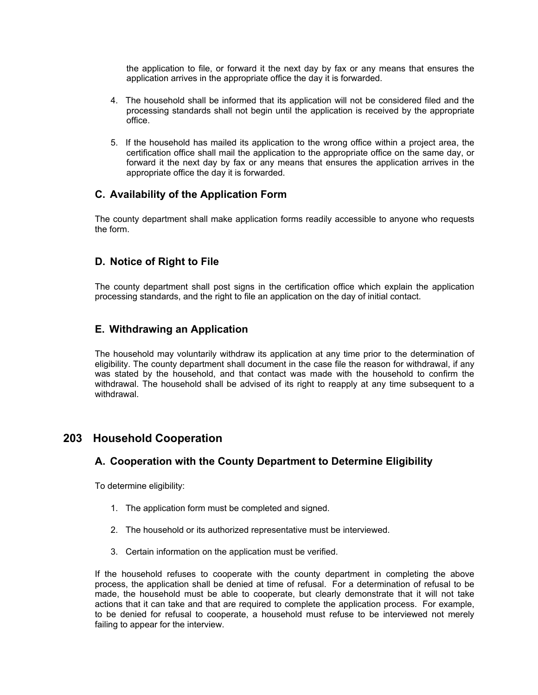the application to file, or forward it the next day by fax or any means that ensures the application arrives in the appropriate office the day it is forwarded.

- 4. The household shall be informed that its application will not be considered filed and the processing standards shall not begin until the application is received by the appropriate office.
- 5. If the household has mailed its application to the wrong office within a project area, the certification office shall mail the application to the appropriate office on the same day, or forward it the next day by fax or any means that ensures the application arrives in the appropriate office the day it is forwarded.

## **C. Availability of the Application Form**

The county department shall make application forms readily accessible to anyone who requests the form.

### **D. Notice of Right to File**

The county department shall post signs in the certification office which explain the application processing standards, and the right to file an application on the day of initial contact.

## **E. Withdrawing an Application**

The household may voluntarily withdraw its application at any time prior to the determination of eligibility. The county department shall document in the case file the reason for withdrawal, if any was stated by the household, and that contact was made with the household to confirm the withdrawal. The household shall be advised of its right to reapply at any time subsequent to a withdrawal.

## **203 Household Cooperation**

### **A. Cooperation with the County Department to Determine Eligibility**

To determine eligibility:

- 1. The application form must be completed and signed.
- 2. The household or its authorized representative must be interviewed.
- 3. Certain information on the application must be verified.

If the household refuses to cooperate with the county department in completing the above process, the application shall be denied at time of refusal. For a determination of refusal to be made, the household must be able to cooperate, but clearly demonstrate that it will not take actions that it can take and that are required to complete the application process. For example, to be denied for refusal to cooperate, a household must refuse to be interviewed not merely failing to appear for the interview.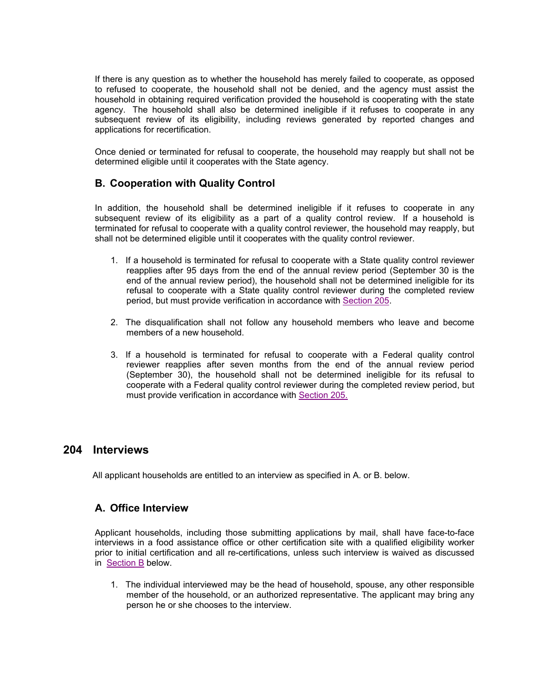If there is any question as to whether the household has merely failed to cooperate, as opposed to refused to cooperate, the household shall not be denied, and the agency must assist the household in obtaining required verification provided the household is cooperating with the state agency. The household shall also be determined ineligible if it refuses to cooperate in any subsequent review of its eligibility, including reviews generated by reported changes and applications for recertification.

Once denied or terminated for refusal to cooperate, the household may reapply but shall not be determined eligible until it cooperates with the State agency.

## **B. Cooperation with Quality Control**

In addition, the household shall be determined ineligible if it refuses to cooperate in any subsequent review of its eligibility as a part of a quality control review. If a household is terminated for refusal to cooperate with a quality control reviewer, the household may reapply, but shall not be determined eligible until it cooperates with the quality control reviewer.

- 1. If a household is terminated for refusal to cooperate with a State quality control reviewer reapplies after 95 days from the end of the annual review period (September 30 is the end of the annual review period), the household shall not be determined ineligible for its refusal to cooperate with a State quality control reviewer during the completed review period, but must provide verification in accordance with Section 205.
- 2. The disqualification shall not follow any household members who leave and become members of a new household.
- 3. If a household is terminated for refusal to cooperate with a Federal quality control reviewer reapplies after seven months from the end of the annual review period (September 30), the household shall not be determined ineligible for its refusal to cooperate with a Federal quality control reviewer during the completed review period, but must provide verification in accordance with Section 205.

### **204 Interviews**

All applicant households are entitled to an interview as specified in A. or B. below.

### **A. Office Interview**

Applicant households, including those submitting applications by mail, shall have face-to-face interviews in a food assistance office or other certification site with a qualified eligibility worker prior to initial certification and all re-certifications, unless such interview is waived as discussed in Section B below.

1. The individual interviewed may be the head of household, spouse, any other responsible member of the household, or an authorized representative. The applicant may bring any person he or she chooses to the interview.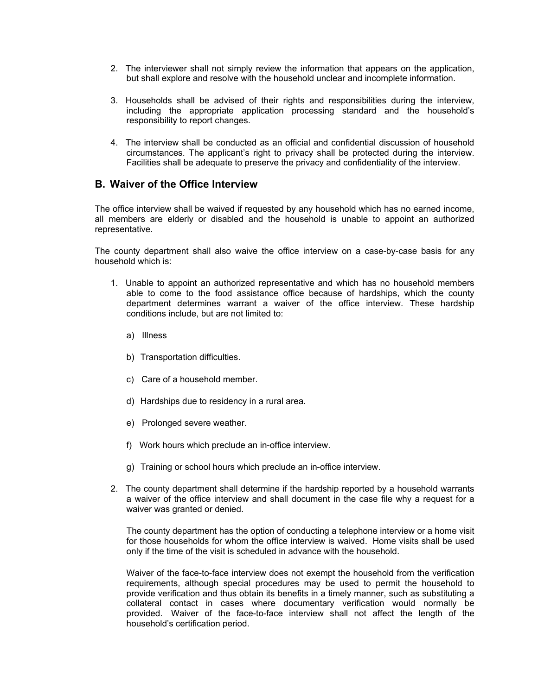- 2. The interviewer shall not simply review the information that appears on the application, but shall explore and resolve with the household unclear and incomplete information.
- 3. Households shall be advised of their rights and responsibilities during the interview, including the appropriate application processing standard and the household's responsibility to report changes.
- 4. The interview shall be conducted as an official and confidential discussion of household circumstances. The applicant's right to privacy shall be protected during the interview. Facilities shall be adequate to preserve the privacy and confidentiality of the interview.

### **B. Waiver of the Office Interview**

The office interview shall be waived if requested by any household which has no earned income, all members are elderly or disabled and the household is unable to appoint an authorized representative.

The county department shall also waive the office interview on a case-by-case basis for any household which is:

- 1. Unable to appoint an authorized representative and which has no household members able to come to the food assistance office because of hardships, which the county department determines warrant a waiver of the office interview. These hardship conditions include, but are not limited to:
	- a) Illness
	- b) Transportation difficulties.
	- c) Care of a household member.
	- d) Hardships due to residency in a rural area.
	- e) Prolonged severe weather.
	- f) Work hours which preclude an in-office interview.
	- g) Training or school hours which preclude an in-office interview.
- 2. The county department shall determine if the hardship reported by a household warrants a waiver of the office interview and shall document in the case file why a request for a waiver was granted or denied.

The county department has the option of conducting a telephone interview or a home visit for those households for whom the office interview is waived. Home visits shall be used only if the time of the visit is scheduled in advance with the household.

Waiver of the face-to-face interview does not exempt the household from the verification requirements, although special procedures may be used to permit the household to provide verification and thus obtain its benefits in a timely manner, such as substituting a collateral contact in cases where documentary verification would normally be provided. Waiver of the face-to-face interview shall not affect the length of the household's certification period.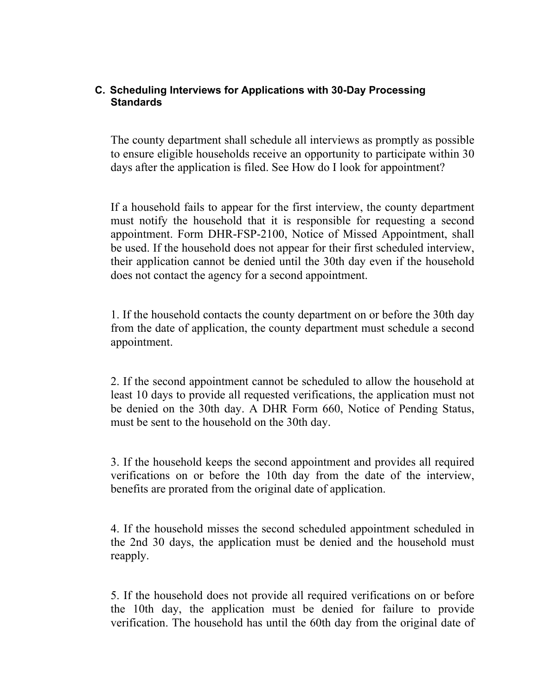## **C. Scheduling Interviews for Applications with 30-Day Processing Standards**

The county department shall schedule all interviews as promptly as possible to ensure eligible households receive an opportunity to participate within 30 days after the application is filed. See How do I look for appointment?

If a household fails to appear for the first interview, the county department must notify the household that it is responsible for requesting a second appointment. Form DHR-FSP-2100, Notice of Missed Appointment, shall be used. If the household does not appear for their first scheduled interview, their application cannot be denied until the 30th day even if the household does not contact the agency for a second appointment.

1. If the household contacts the county department on or before the 30th day from the date of application, the county department must schedule a second appointment.

2. If the second appointment cannot be scheduled to allow the household at least 10 days to provide all requested verifications, the application must not be denied on the 30th day. A DHR Form 660, Notice of Pending Status, must be sent to the household on the 30th day.

3. If the household keeps the second appointment and provides all required verifications on or before the 10th day from the date of the interview, benefits are prorated from the original date of application.

4. If the household misses the second scheduled appointment scheduled in the 2nd 30 days, the application must be denied and the household must reapply.

5. If the household does not provide all required verifications on or before the 10th day, the application must be denied for failure to provide verification. The household has until the 60th day from the original date of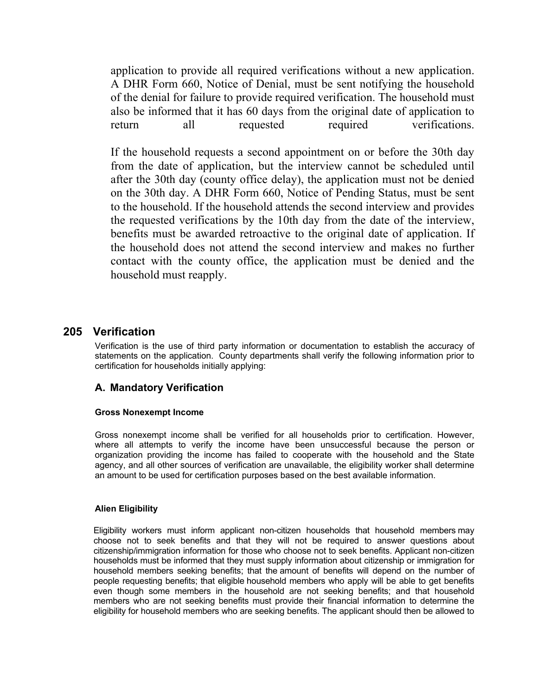application to provide all required verifications without a new application. A DHR Form 660, Notice of Denial, must be sent notifying the household of the denial for failure to provide required verification. The household must also be informed that it has 60 days from the original date of application to return all requested required verifications.

If the household requests a second appointment on or before the 30th day from the date of application, but the interview cannot be scheduled until after the 30th day (county office delay), the application must not be denied on the 30th day. A DHR Form 660, Notice of Pending Status, must be sent to the household. If the household attends the second interview and provides the requested verifications by the 10th day from the date of the interview, benefits must be awarded retroactive to the original date of application. If the household does not attend the second interview and makes no further contact with the county office, the application must be denied and the household must reapply.

## **205 Verification**

Verification is the use of third party information or documentation to establish the accuracy of statements on the application. County departments shall verify the following information prior to certification for households initially applying:

### **A. Mandatory Verification**

### **Gross Nonexempt Income**

Gross nonexempt income shall be verified for all households prior to certification. However, where all attempts to verify the income have been unsuccessful because the person or organization providing the income has failed to cooperate with the household and the State agency, and all other sources of verification are unavailable, the eligibility worker shall determine an amount to be used for certification purposes based on the best available information.

### **Alien Eligibility**

Eligibility workers must inform applicant non-citizen households that household members may choose not to seek benefits and that they will not be required to answer questions about citizenship/immigration information for those who choose not to seek benefits. Applicant non-citizen households must be informed that they must supply information about citizenship or immigration for household members seeking benefits; that the amount of benefits will depend on the number of people requesting benefits; that eligible household members who apply will be able to get benefits even though some members in the household are not seeking benefits; and that household members who are not seeking benefits must provide their financial information to determine the eligibility for household members who are seeking benefits. The applicant should then be allowed to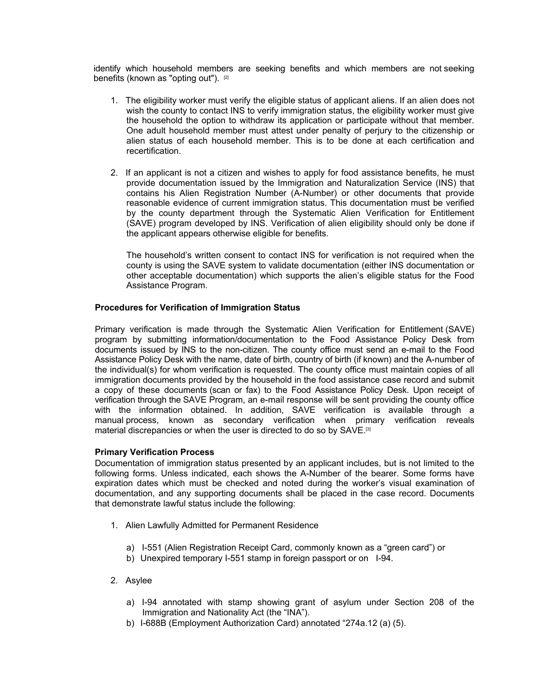identify which household members are seeking benefits and which members are not seeking benefits (known as "opting out"). [2]

- 1. The eligibility worker must verify the eligible status of applicant aliens. If an alien does not wish the county to contact INS to verify immigration status, the eligibility worker must give the household the option to withdraw its application or participate without that member. One adult household member must attest under penalty of perjury to the citizenship or alien status of each household member. This is to be done at each certification and recertification.
- 2. If an applicant is not a citizen and wishes to apply for food assistance benefits, he must provide documentation issued by the Immigration and Naturalization Service (INS) that contains his Alien Registration Number (A-Number) or other documents that provide reasonable evidence of current immigration status. This documentation must be verified by the county department through the Systematic Alien Verification for Entitlement (SAVE) program developed by INS. Verification of alien eligibility should only be done if the applicant appears otherwise eligible for benefits.

The household's written consent to contact INS for verification is not required when the county is using the SAVE system to validate documentation (either INS documentation or other acceptable documentation) which supports the alien's eligible status for the Food Assistance Program.

### **Procedures for Verification of Immigration Status**

Primary verification is made through the Systematic Alien Verification for Entitlement (SAVE) program by submitting information/documentation to the Food Assistance Policy Desk from documents issued by INS to the non-citizen. The county office must send an e-mail to the Food Assistance Policy Desk with the name, date of birth, country of birth (if known) and the A-number of the individual(s) for whom verification is requested. The county office must maintain copies of all immigration documents provided by the household in the food assistance case record and submit a copy of these documents (scan or fax) to the Food Assistance Policy Desk. Upon receipt of verification through the SAVE Program, an e-mail response will be sent providing the county office with the information obtained. In addition, SAVE verification is available through a manual process, known as secondary verification when primary verification reveals material discrepancies or when the user is directed to do so by SAVE.<sup>[3]</sup>

#### **Primary Verification Process**

Documentation of immigration status presented by an applicant includes, but is not limited to the following forms. Unless indicated, each shows the A-Number of the bearer. Some forms have expiration dates which must be checked and noted during the worker's visual examination of documentation, and any supporting documents shall be placed in the case record. Documents that demonstrate lawful status include the following:

- 1. Alien Lawfully Admitted for Permanent Residence
	- a) I-551 (Alien Registration Receipt Card, commonly known as a "green card") or
	- b) Unexpired temporary I-551 stamp in foreign passport or on I-94.
- 2. Asylee
	- a) I-94 annotated with stamp showing grant of asylum under Section 208 of the Immigration and Nationality Act (the "INA").
	- b) I-688B (Employment Authorization Card) annotated "274a.12 (a) (5).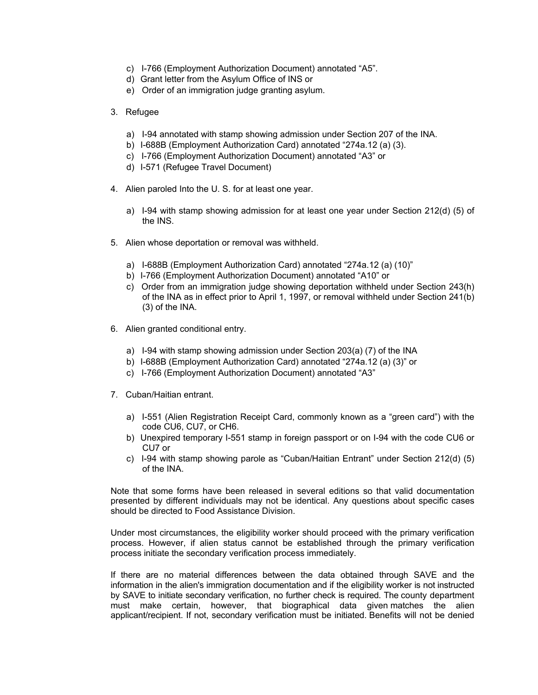- c) I-766 (Employment Authorization Document) annotated "A5".
- d) Grant letter from the Asylum Office of INS or
- e) Order of an immigration judge granting asylum.
- 3. Refugee
	- a) I-94 annotated with stamp showing admission under Section 207 of the INA.
	- b) I-688B (Employment Authorization Card) annotated "274a.12 (a) (3).
	- c) I-766 (Employment Authorization Document) annotated "A3" or
	- d) I-571 (Refugee Travel Document)
- 4. Alien paroled Into the U. S. for at least one year.
	- a) I-94 with stamp showing admission for at least one year under Section 212(d) (5) of the INS.
- 5. Alien whose deportation or removal was withheld.
	- a) I-688B (Employment Authorization Card) annotated "274a.12 (a) (10)"
	- b) I-766 (Employment Authorization Document) annotated "A10" or
	- c) Order from an immigration judge showing deportation withheld under Section 243(h) of the INA as in effect prior to April 1, 1997, or removal withheld under Section 241(b) (3) of the INA.
- 6. Alien granted conditional entry.
	- a) I-94 with stamp showing admission under Section 203(a) (7) of the INA
	- b) I-688B (Employment Authorization Card) annotated "274a.12 (a) (3)" or
	- c) I-766 (Employment Authorization Document) annotated "A3"
- 7. Cuban/Haitian entrant.
	- a) I-551 (Alien Registration Receipt Card, commonly known as a "green card") with the code CU6, CU7, or CH6.
	- b) Unexpired temporary I-551 stamp in foreign passport or on I-94 with the code CU6 or CU7 or
	- c) I-94 with stamp showing parole as "Cuban/Haitian Entrant" under Section 212(d) (5) of the INA.

Note that some forms have been released in several editions so that valid documentation presented by different individuals may not be identical. Any questions about specific cases should be directed to Food Assistance Division.

Under most circumstances, the eligibility worker should proceed with the primary verification process. However, if alien status cannot be established through the primary verification process initiate the secondary verification process immediately.

If there are no material differences between the data obtained through SAVE and the information in the alien's immigration documentation and if the eligibility worker is not instructed by SAVE to initiate secondary verification, no further check is required. The county department must make certain, however, that biographical data given matches the alien applicant/recipient. If not, secondary verification must be initiated. Benefits will not be denied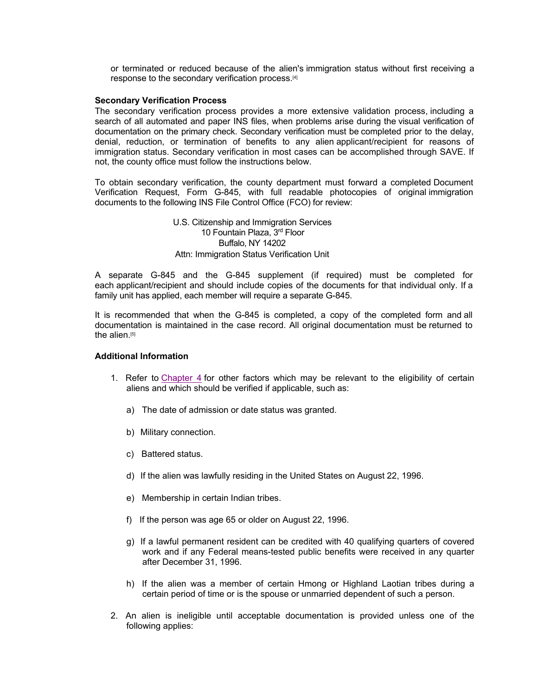or terminated or reduced because of the alien's immigration status without first receiving a response to the secondary verification process.[4]

#### **Secondary Verification Process**

The secondary verification process provides a more extensive validation process, including a search of all automated and paper INS files, when problems arise during the visual verification of documentation on the primary check. Secondary verification must be completed prior to the delay, denial, reduction, or termination of benefits to any alien applicant/recipient for reasons of immigration status. Secondary verification in most cases can be accomplished through SAVE. If not, the county office must follow the instructions below.

To obtain secondary verification, the county department must forward a completed Document Verification Request, Form G-845, with full readable photocopies of original immigration documents to the following INS File Control Office (FCO) for review:

### U.S. Citizenship and Immigration Services 10 Fountain Plaza, 3rd Floor Buffalo, NY 14202 Attn: Immigration Status Verification Unit

A separate G-845 and the G-845 supplement (if required) must be completed for each applicant/recipient and should include copies of the documents for that individual only. If a family unit has applied, each member will require a separate G-845.

It is recommended that when the G-845 is completed, a copy of the completed form and all documentation is maintained in the case record. All original documentation must be returned to the alien.[5]

#### **Additional Information**

- 1. Refer to Chapter 4 for other factors which may be relevant to the eligibility of certain aliens and which should be verified if applicable, such as:
	- a) The date of admission or date status was granted.
	- b) Military connection.
	- c) Battered status.
	- d) If the alien was lawfully residing in the United States on August 22, 1996.
	- e) Membership in certain Indian tribes.
	- f) If the person was age 65 or older on August 22, 1996.
	- g) If a lawful permanent resident can be credited with 40 qualifying quarters of covered work and if any Federal means-tested public benefits were received in any quarter after December 31, 1996.
	- h) If the alien was a member of certain Hmong or Highland Laotian tribes during a certain period of time or is the spouse or unmarried dependent of such a person.
- 2. An alien is ineligible until acceptable documentation is provided unless one of the following applies: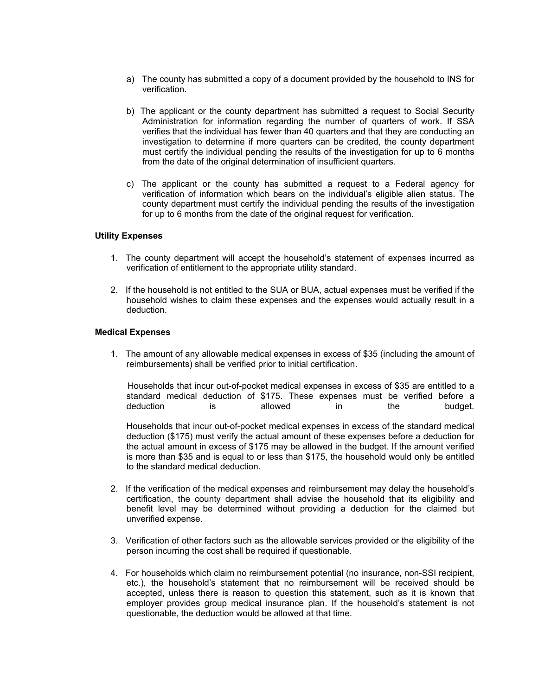- a) The county has submitted a copy of a document provided by the household to INS for verification.
- b) The applicant or the county department has submitted a request to Social Security Administration for information regarding the number of quarters of work. If SSA verifies that the individual has fewer than 40 quarters and that they are conducting an investigation to determine if more quarters can be credited, the county department must certify the individual pending the results of the investigation for up to 6 months from the date of the original determination of insufficient quarters.
- c) The applicant or the county has submitted a request to a Federal agency for verification of information which bears on the individual's eligible alien status. The county department must certify the individual pending the results of the investigation for up to 6 months from the date of the original request for verification.

#### **Utility Expenses**

- 1. The county department will accept the household's statement of expenses incurred as verification of entitlement to the appropriate utility standard.
- 2. If the household is not entitled to the SUA or BUA, actual expenses must be verified if the household wishes to claim these expenses and the expenses would actually result in a deduction.

#### **Medical Expenses**

1. The amount of any allowable medical expenses in excess of \$35 (including the amount of reimbursements) shall be verified prior to initial certification.

 Households that incur out-of-pocket medical expenses in excess of \$35 are entitled to a standard medical deduction of \$175. These expenses must be verified before a deduction is allowed in the budget.

Households that incur out-of-pocket medical expenses in excess of the standard medical deduction (\$175) must verify the actual amount of these expenses before a deduction for the actual amount in excess of \$175 may be allowed in the budget. If the amount verified is more than \$35 and is equal to or less than \$175, the household would only be entitled to the standard medical deduction.

- 2. If the verification of the medical expenses and reimbursement may delay the household's certification, the county department shall advise the household that its eligibility and benefit level may be determined without providing a deduction for the claimed but unverified expense.
- 3. Verification of other factors such as the allowable services provided or the eligibility of the person incurring the cost shall be required if questionable.
- 4. For households which claim no reimbursement potential (no insurance, non-SSI recipient, etc.), the household's statement that no reimbursement will be received should be accepted, unless there is reason to question this statement, such as it is known that employer provides group medical insurance plan. If the household's statement is not questionable, the deduction would be allowed at that time.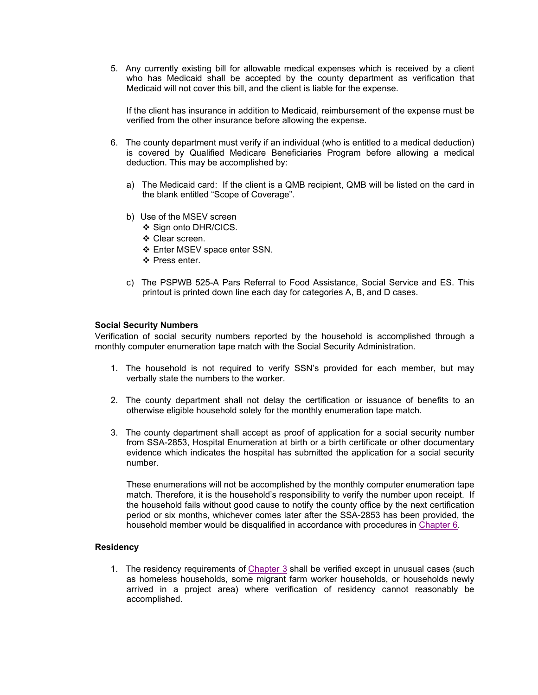5. Any currently existing bill for allowable medical expenses which is received by a client who has Medicaid shall be accepted by the county department as verification that Medicaid will not cover this bill, and the client is liable for the expense.

If the client has insurance in addition to Medicaid, reimbursement of the expense must be verified from the other insurance before allowing the expense.

- 6. The county department must verify if an individual (who is entitled to a medical deduction) is covered by Qualified Medicare Beneficiaries Program before allowing a medical deduction. This may be accomplished by:
	- a) The Medicaid card: If the client is a QMB recipient, QMB will be listed on the card in the blank entitled "Scope of Coverage".
	- b) Use of the MSEV screen
		- ❖ Sign onto DHR/CICS.
		- Clear screen.
		- Enter MSEV space enter SSN.
		- ❖ Press enter
	- c) The PSPWB 525-A Pars Referral to Food Assistance, Social Service and ES. This printout is printed down line each day for categories A, B, and D cases.

#### **Social Security Numbers**

Verification of social security numbers reported by the household is accomplished through a monthly computer enumeration tape match with the Social Security Administration.

- 1. The household is not required to verify SSN's provided for each member, but may verbally state the numbers to the worker.
- 2. The county department shall not delay the certification or issuance of benefits to an otherwise eligible household solely for the monthly enumeration tape match.
- 3. The county department shall accept as proof of application for a social security number from SSA-2853, Hospital Enumeration at birth or a birth certificate or other documentary evidence which indicates the hospital has submitted the application for a social security number.

These enumerations will not be accomplished by the monthly computer enumeration tape match. Therefore, it is the household's responsibility to verify the number upon receipt. If the household fails without good cause to notify the county office by the next certification period or six months, whichever comes later after the SSA-2853 has been provided, the household member would be disqualified in accordance with procedures in Chapter 6.

#### **Residency**

1. The residency requirements of Chapter 3 shall be verified except in unusual cases (such as homeless households, some migrant farm worker households, or households newly arrived in a project area) where verification of residency cannot reasonably be accomplished.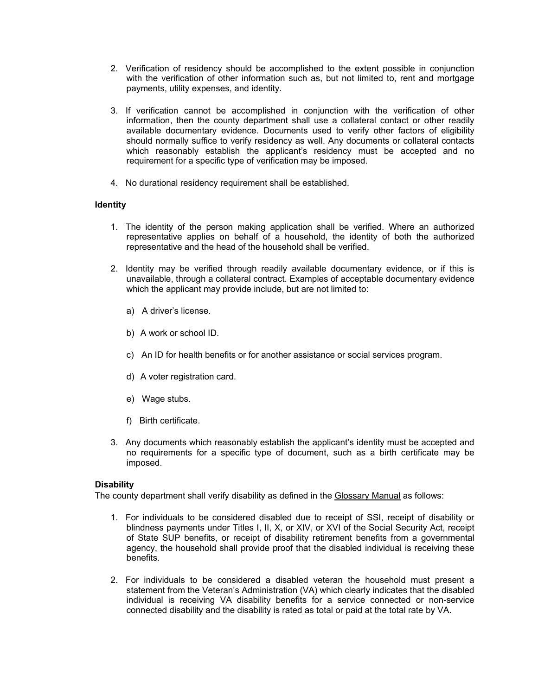- 2. Verification of residency should be accomplished to the extent possible in conjunction with the verification of other information such as, but not limited to, rent and mortgage payments, utility expenses, and identity.
- 3. If verification cannot be accomplished in conjunction with the verification of other information, then the county department shall use a collateral contact or other readily available documentary evidence. Documents used to verify other factors of eligibility should normally suffice to verify residency as well. Any documents or collateral contacts which reasonably establish the applicant's residency must be accepted and no requirement for a specific type of verification may be imposed.
- 4. No durational residency requirement shall be established.

### **Identity**

- 1. The identity of the person making application shall be verified. Where an authorized representative applies on behalf of a household, the identity of both the authorized representative and the head of the household shall be verified.
- 2. Identity may be verified through readily available documentary evidence, or if this is unavailable, through a collateral contract. Examples of acceptable documentary evidence which the applicant may provide include, but are not limited to:
	- a) A driver's license.
	- b) A work or school ID.
	- c) An ID for health benefits or for another assistance or social services program.
	- d) A voter registration card.
	- e) Wage stubs.
	- f) Birth certificate.
- 3. Any documents which reasonably establish the applicant's identity must be accepted and no requirements for a specific type of document, such as a birth certificate may be imposed.

### **Disability**

The county department shall verify disability as defined in the Glossary Manual as follows:

- 1. For individuals to be considered disabled due to receipt of SSI, receipt of disability or blindness payments under Titles I, II, X, or XIV, or XVI of the Social Security Act, receipt of State SUP benefits, or receipt of disability retirement benefits from a governmental agency, the household shall provide proof that the disabled individual is receiving these benefits.
- 2. For individuals to be considered a disabled veteran the household must present a statement from the Veteran's Administration (VA) which clearly indicates that the disabled individual is receiving VA disability benefits for a service connected or non-service connected disability and the disability is rated as total or paid at the total rate by VA.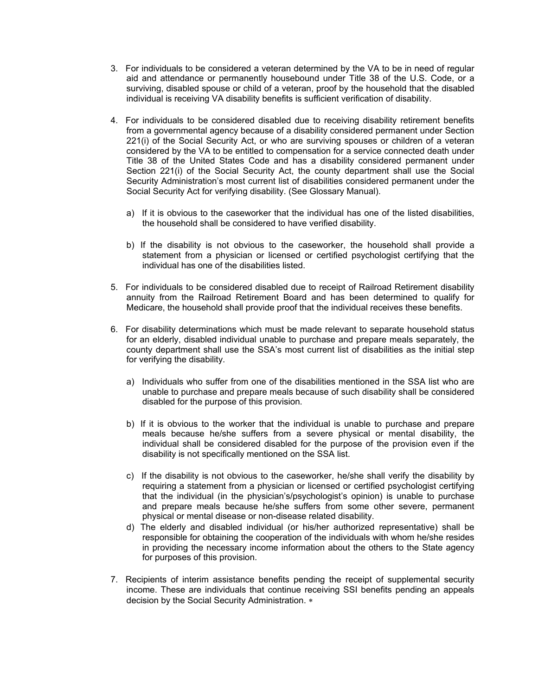- 3. For individuals to be considered a veteran determined by the VA to be in need of regular aid and attendance or permanently housebound under Title 38 of the U.S. Code, or a surviving, disabled spouse or child of a veteran, proof by the household that the disabled individual is receiving VA disability benefits is sufficient verification of disability.
- 4. For individuals to be considered disabled due to receiving disability retirement benefits from a governmental agency because of a disability considered permanent under Section 221(i) of the Social Security Act, or who are surviving spouses or children of a veteran considered by the VA to be entitled to compensation for a service connected death under Title 38 of the United States Code and has a disability considered permanent under Section 221(i) of the Social Security Act, the county department shall use the Social Security Administration's most current list of disabilities considered permanent under the Social Security Act for verifying disability. (See Glossary Manual).
	- a) If it is obvious to the caseworker that the individual has one of the listed disabilities, the household shall be considered to have verified disability.
	- b) If the disability is not obvious to the caseworker, the household shall provide a statement from a physician or licensed or certified psychologist certifying that the individual has one of the disabilities listed.
- 5. For individuals to be considered disabled due to receipt of Railroad Retirement disability annuity from the Railroad Retirement Board and has been determined to qualify for Medicare, the household shall provide proof that the individual receives these benefits.
- 6. For disability determinations which must be made relevant to separate household status for an elderly, disabled individual unable to purchase and prepare meals separately, the county department shall use the SSA's most current list of disabilities as the initial step for verifying the disability.
	- a) Individuals who suffer from one of the disabilities mentioned in the SSA list who are unable to purchase and prepare meals because of such disability shall be considered disabled for the purpose of this provision.
	- b) If it is obvious to the worker that the individual is unable to purchase and prepare meals because he/she suffers from a severe physical or mental disability, the individual shall be considered disabled for the purpose of the provision even if the disability is not specifically mentioned on the SSA list.
	- c) If the disability is not obvious to the caseworker, he/she shall verify the disability by requiring a statement from a physician or licensed or certified psychologist certifying that the individual (in the physician's/psychologist's opinion) is unable to purchase and prepare meals because he/she suffers from some other severe, permanent physical or mental disease or non-disease related disability.
	- d) The elderly and disabled individual (or his/her authorized representative) shall be responsible for obtaining the cooperation of the individuals with whom he/she resides in providing the necessary income information about the others to the State agency for purposes of this provision.
- 7. Recipients of interim assistance benefits pending the receipt of supplemental security income. These are individuals that continue receiving SSI benefits pending an appeals decision by the Social Security Administration.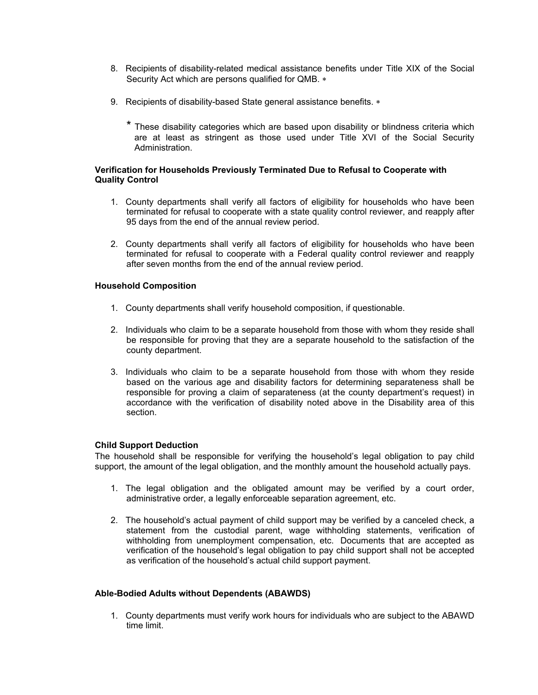- 8. Recipients of disability-related medical assistance benefits under Title XIX of the Social Security Act which are persons qualified for QMB.
- 9. Recipients of disability-based State general assistance benefits. \*
	- \* These disability categories which are based upon disability or blindness criteria which are at least as stringent as those used under Title XVI of the Social Security Administration.

### **Verification for Households Previously Terminated Due to Refusal to Cooperate with Quality Control**

- 1. County departments shall verify all factors of eligibility for households who have been terminated for refusal to cooperate with a state quality control reviewer, and reapply after 95 days from the end of the annual review period.
- 2. County departments shall verify all factors of eligibility for households who have been terminated for refusal to cooperate with a Federal quality control reviewer and reapply after seven months from the end of the annual review period.

### **Household Composition**

- 1. County departments shall verify household composition, if questionable.
- 2. Individuals who claim to be a separate household from those with whom they reside shall be responsible for proving that they are a separate household to the satisfaction of the county department.
- 3. Individuals who claim to be a separate household from those with whom they reside based on the various age and disability factors for determining separateness shall be responsible for proving a claim of separateness (at the county department's request) in accordance with the verification of disability noted above in the Disability area of this section.

### **Child Support Deduction**

The household shall be responsible for verifying the household's legal obligation to pay child support, the amount of the legal obligation, and the monthly amount the household actually pays.

- 1. The legal obligation and the obligated amount may be verified by a court order, administrative order, a legally enforceable separation agreement, etc.
- 2. The household's actual payment of child support may be verified by a canceled check, a statement from the custodial parent, wage withholding statements, verification of withholding from unemployment compensation, etc. Documents that are accepted as verification of the household's legal obligation to pay child support shall not be accepted as verification of the household's actual child support payment.

### **Able-Bodied Adults without Dependents (ABAWDS)**

1. County departments must verify work hours for individuals who are subject to the ABAWD time limit.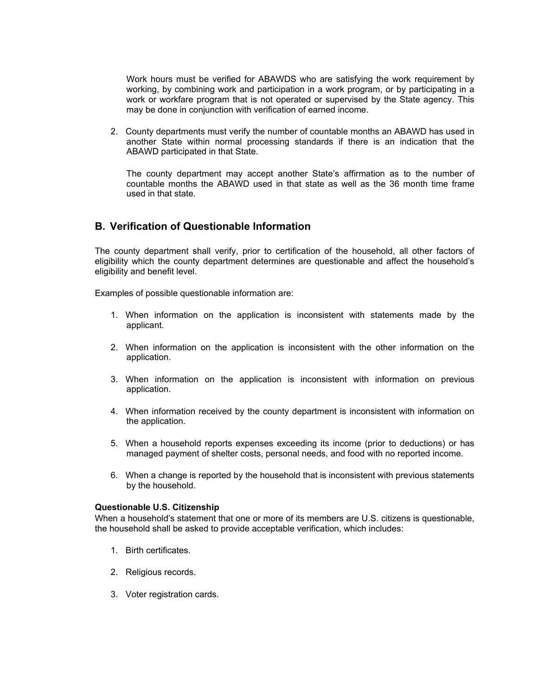Work hours must be verified for ABAWDS who are satisfying the work requirement by working, by combining work and participation in a work program, or by participating in a work or workfare program that is not operated or supervised by the State agency. This may be done in conjunction with verification of earned income.

2. County departments must verify the number of countable months an ABAWD has used in another State within normal processing standards if there is an indication that the ABAWD participated in that State.

The county department may accept another State's affirmation as to the number of countable months the ABAWD used in that state as well as the 36 month time frame used in that state.

### **B. Verification of Questionable Information**

The county department shall verify, prior to certification of the household, all other factors of eligibility which the county department determines are questionable and affect the household's eligibility and benefit level.

Examples of possible questionable information are:

- 1. When information on the application is inconsistent with statements made by the applicant.
- 2. When information on the application is inconsistent with the other information on the application.
- 3. When information on the application is inconsistent with information on previous application.
- 4. When information received by the county department is inconsistent with information on the application.
- 5. When a household reports expenses exceeding its income (prior to deductions) or has managed payment of shelter costs, personal needs, and food with no reported income.
- 6. When a change is reported by the household that is inconsistent with previous statements by the household.

#### **Questionable U.S. Citizenship**

When a household's statement that one or more of its members are U.S. citizens is questionable, the household shall be asked to provide acceptable verification, which includes:

- 1. Birth certificates.
- 2. Religious records.
- 3. Voter registration cards.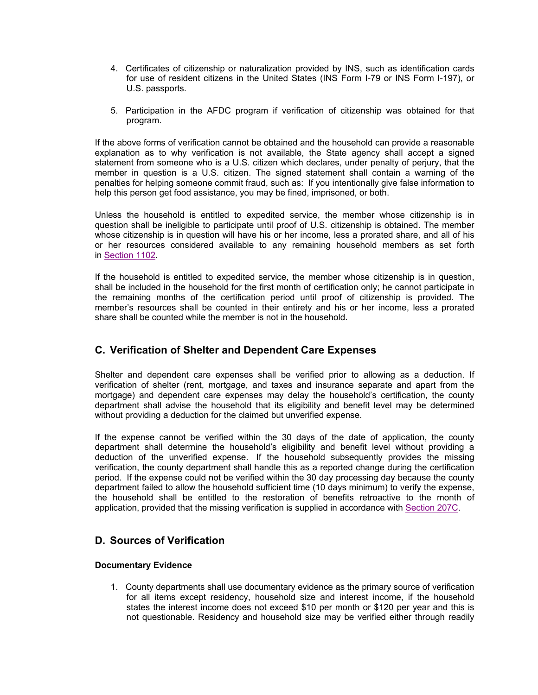- 4. Certificates of citizenship or naturalization provided by INS, such as identification cards for use of resident citizens in the United States (INS Form I-79 or INS Form I-197), or U.S. passports.
- 5. Participation in the AFDC program if verification of citizenship was obtained for that program.

If the above forms of verification cannot be obtained and the household can provide a reasonable explanation as to why verification is not available, the State agency shall accept a signed statement from someone who is a U.S. citizen which declares, under penalty of perjury, that the member in question is a U.S. citizen. The signed statement shall contain a warning of the penalties for helping someone commit fraud, such as: If you intentionally give false information to help this person get food assistance, you may be fined, imprisoned, or both.

Unless the household is entitled to expedited service, the member whose citizenship is in question shall be ineligible to participate until proof of U.S. citizenship is obtained. The member whose citizenship is in question will have his or her income, less a prorated share, and all of his or her resources considered available to any remaining household members as set forth in Section 1102.

If the household is entitled to expedited service, the member whose citizenship is in question, shall be included in the household for the first month of certification only; he cannot participate in the remaining months of the certification period until proof of citizenship is provided. The member's resources shall be counted in their entirety and his or her income, less a prorated share shall be counted while the member is not in the household.

### **C. Verification of Shelter and Dependent Care Expenses**

Shelter and dependent care expenses shall be verified prior to allowing as a deduction. If verification of shelter (rent, mortgage, and taxes and insurance separate and apart from the mortgage) and dependent care expenses may delay the household's certification, the county department shall advise the household that its eligibility and benefit level may be determined without providing a deduction for the claimed but unverified expense.

If the expense cannot be verified within the 30 days of the date of application, the county department shall determine the household's eligibility and benefit level without providing a deduction of the unverified expense. If the household subsequently provides the missing verification, the county department shall handle this as a reported change during the certification period. If the expense could not be verified within the 30 day processing day because the county department failed to allow the household sufficient time (10 days minimum) to verify the expense, the household shall be entitled to the restoration of benefits retroactive to the month of application, provided that the missing verification is supplied in accordance with Section 207C.

## **D. Sources of Verification**

### **Documentary Evidence**

1. County departments shall use documentary evidence as the primary source of verification for all items except residency, household size and interest income, if the household states the interest income does not exceed \$10 per month or \$120 per year and this is not questionable. Residency and household size may be verified either through readily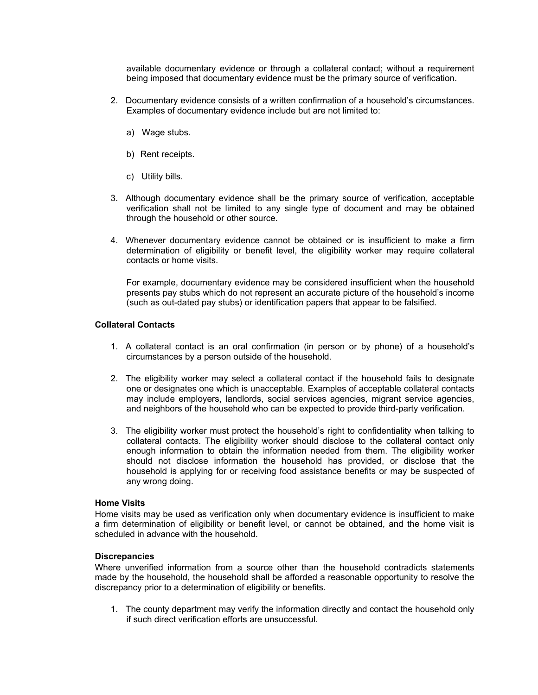available documentary evidence or through a collateral contact; without a requirement being imposed that documentary evidence must be the primary source of verification.

- 2. Documentary evidence consists of a written confirmation of a household's circumstances. Examples of documentary evidence include but are not limited to:
	- a) Wage stubs.
	- b) Rent receipts.
	- c) Utility bills.
- 3. Although documentary evidence shall be the primary source of verification, acceptable verification shall not be limited to any single type of document and may be obtained through the household or other source.
- 4. Whenever documentary evidence cannot be obtained or is insufficient to make a firm determination of eligibility or benefit level, the eligibility worker may require collateral contacts or home visits.

For example, documentary evidence may be considered insufficient when the household presents pay stubs which do not represent an accurate picture of the household's income (such as out-dated pay stubs) or identification papers that appear to be falsified.

### **Collateral Contacts**

- 1. A collateral contact is an oral confirmation (in person or by phone) of a household's circumstances by a person outside of the household.
- 2. The eligibility worker may select a collateral contact if the household fails to designate one or designates one which is unacceptable. Examples of acceptable collateral contacts may include employers, landlords, social services agencies, migrant service agencies, and neighbors of the household who can be expected to provide third-party verification.
- 3. The eligibility worker must protect the household's right to confidentiality when talking to collateral contacts. The eligibility worker should disclose to the collateral contact only enough information to obtain the information needed from them. The eligibility worker should not disclose information the household has provided, or disclose that the household is applying for or receiving food assistance benefits or may be suspected of any wrong doing.

### **Home Visits**

Home visits may be used as verification only when documentary evidence is insufficient to make a firm determination of eligibility or benefit level, or cannot be obtained, and the home visit is scheduled in advance with the household.

### **Discrepancies**

Where unverified information from a source other than the household contradicts statements made by the household, the household shall be afforded a reasonable opportunity to resolve the discrepancy prior to a determination of eligibility or benefits.

1. The county department may verify the information directly and contact the household only if such direct verification efforts are unsuccessful.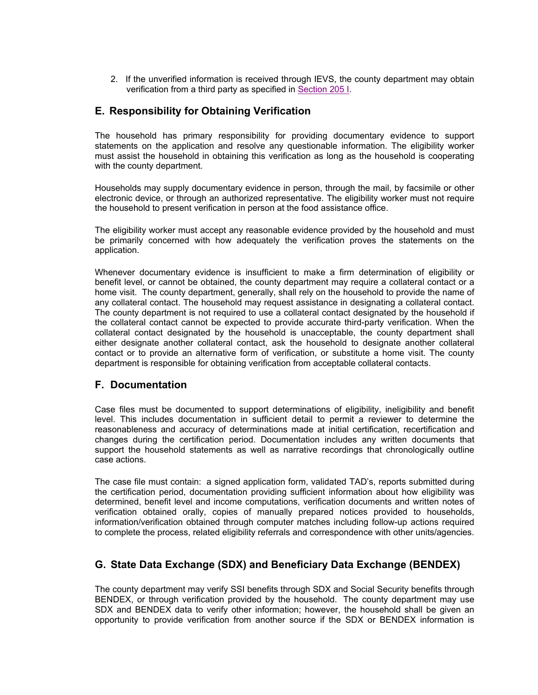2. If the unverified information is received through IEVS, the county department may obtain verification from a third party as specified in Section 205 I.

### **E. Responsibility for Obtaining Verification**

The household has primary responsibility for providing documentary evidence to support statements on the application and resolve any questionable information. The eligibility worker must assist the household in obtaining this verification as long as the household is cooperating with the county department.

Households may supply documentary evidence in person, through the mail, by facsimile or other electronic device, or through an authorized representative. The eligibility worker must not require the household to present verification in person at the food assistance office.

The eligibility worker must accept any reasonable evidence provided by the household and must be primarily concerned with how adequately the verification proves the statements on the application.

Whenever documentary evidence is insufficient to make a firm determination of eligibility or benefit level, or cannot be obtained, the county department may require a collateral contact or a home visit. The county department, generally, shall rely on the household to provide the name of any collateral contact. The household may request assistance in designating a collateral contact. The county department is not required to use a collateral contact designated by the household if the collateral contact cannot be expected to provide accurate third-party verification. When the collateral contact designated by the household is unacceptable, the county department shall either designate another collateral contact, ask the household to designate another collateral contact or to provide an alternative form of verification, or substitute a home visit. The county department is responsible for obtaining verification from acceptable collateral contacts.

### **F. Documentation**

Case files must be documented to support determinations of eligibility, ineligibility and benefit level. This includes documentation in sufficient detail to permit a reviewer to determine the reasonableness and accuracy of determinations made at initial certification, recertification and changes during the certification period. Documentation includes any written documents that support the household statements as well as narrative recordings that chronologically outline case actions.

The case file must contain: a signed application form, validated TAD's, reports submitted during the certification period, documentation providing sufficient information about how eligibility was determined, benefit level and income computations, verification documents and written notes of verification obtained orally, copies of manually prepared notices provided to households, information/verification obtained through computer matches including follow-up actions required to complete the process, related eligibility referrals and correspondence with other units/agencies.

## **G. State Data Exchange (SDX) and Beneficiary Data Exchange (BENDEX)**

The county department may verify SSI benefits through SDX and Social Security benefits through BENDEX, or through verification provided by the household. The county department may use SDX and BENDEX data to verify other information; however, the household shall be given an opportunity to provide verification from another source if the SDX or BENDEX information is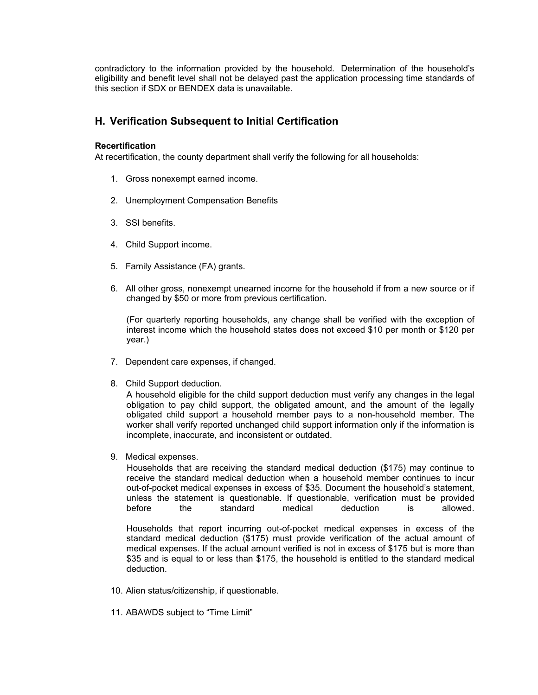contradictory to the information provided by the household. Determination of the household's eligibility and benefit level shall not be delayed past the application processing time standards of this section if SDX or BENDEX data is unavailable.

### **H. Verification Subsequent to Initial Certification**

### **Recertification**

At recertification, the county department shall verify the following for all households:

- 1. Gross nonexempt earned income.
- 2. Unemployment Compensation Benefits
- 3. SSI benefits.
- 4. Child Support income.
- 5. Family Assistance (FA) grants.
- 6. All other gross, nonexempt unearned income for the household if from a new source or if changed by \$50 or more from previous certification.

(For quarterly reporting households, any change shall be verified with the exception of interest income which the household states does not exceed \$10 per month or \$120 per year.)

- 7. Dependent care expenses, if changed.
- 8. Child Support deduction.

A household eligible for the child support deduction must verify any changes in the legal obligation to pay child support, the obligated amount, and the amount of the legally obligated child support a household member pays to a non-household member. The worker shall verify reported unchanged child support information only if the information is incomplete, inaccurate, and inconsistent or outdated.

9. Medical expenses.

 Households that are receiving the standard medical deduction (\$175) may continue to receive the standard medical deduction when a household member continues to incur out-of-pocket medical expenses in excess of \$35. Document the household's statement, unless the statement is questionable. If questionable, verification must be provided before the standard medical deduction is allowed.

Households that report incurring out-of-pocket medical expenses in excess of the standard medical deduction (\$175) must provide verification of the actual amount of medical expenses. If the actual amount verified is not in excess of \$175 but is more than \$35 and is equal to or less than \$175, the household is entitled to the standard medical deduction.

- 10. Alien status/citizenship, if questionable.
- 11. ABAWDS subject to "Time Limit"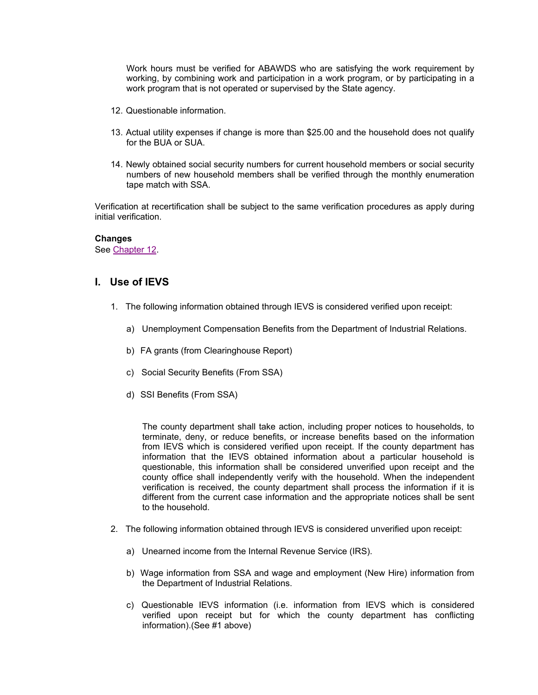Work hours must be verified for ABAWDS who are satisfying the work requirement by working, by combining work and participation in a work program, or by participating in a work program that is not operated or supervised by the State agency.

- 12. Questionable information.
- 13. Actual utility expenses if change is more than \$25.00 and the household does not qualify for the BUA or SUA.
- 14. Newly obtained social security numbers for current household members or social security numbers of new household members shall be verified through the monthly enumeration tape match with SSA.

Verification at recertification shall be subject to the same verification procedures as apply during initial verification.

#### **Changes**

See Chapter 12.

### **I. Use of IEVS**

- 1. The following information obtained through IEVS is considered verified upon receipt:
	- a) Unemployment Compensation Benefits from the Department of Industrial Relations.
	- b) FA grants (from Clearinghouse Report)
	- c) Social Security Benefits (From SSA)
	- d) SSI Benefits (From SSA)

The county department shall take action, including proper notices to households, to terminate, deny, or reduce benefits, or increase benefits based on the information from IEVS which is considered verified upon receipt. If the county department has information that the IEVS obtained information about a particular household is questionable, this information shall be considered unverified upon receipt and the county office shall independently verify with the household. When the independent verification is received, the county department shall process the information if it is different from the current case information and the appropriate notices shall be sent to the household.

- 2. The following information obtained through IEVS is considered unverified upon receipt:
	- a) Unearned income from the Internal Revenue Service (IRS).
	- b) Wage information from SSA and wage and employment (New Hire) information from the Department of Industrial Relations.
	- c) Questionable IEVS information (i.e. information from IEVS which is considered verified upon receipt but for which the county department has conflicting information).(See #1 above)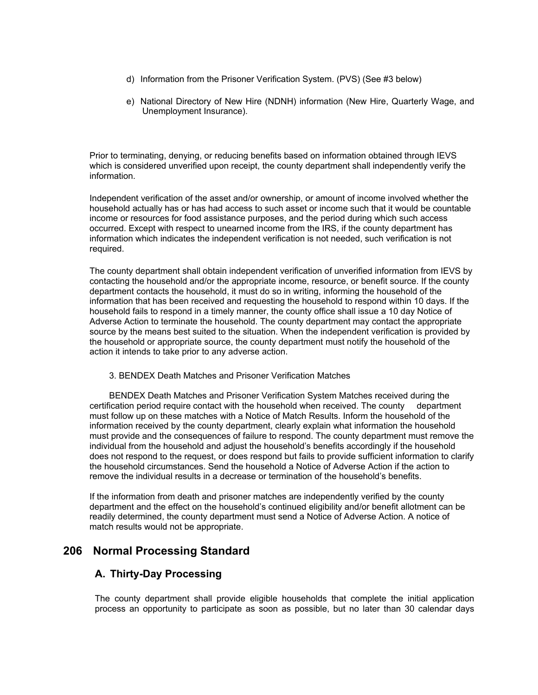- d) Information from the Prisoner Verification System. (PVS) (See #3 below)
- e) National Directory of New Hire (NDNH) information (New Hire, Quarterly Wage, and Unemployment Insurance).

Prior to terminating, denying, or reducing benefits based on information obtained through IEVS which is considered unverified upon receipt, the county department shall independently verify the information.

Independent verification of the asset and/or ownership, or amount of income involved whether the household actually has or has had access to such asset or income such that it would be countable income or resources for food assistance purposes, and the period during which such access occurred. Except with respect to unearned income from the IRS, if the county department has information which indicates the independent verification is not needed, such verification is not required.

The county department shall obtain independent verification of unverified information from IEVS by contacting the household and/or the appropriate income, resource, or benefit source. If the county department contacts the household, it must do so in writing, informing the household of the information that has been received and requesting the household to respond within 10 days. If the household fails to respond in a timely manner, the county office shall issue a 10 day Notice of Adverse Action to terminate the household. The county department may contact the appropriate source by the means best suited to the situation. When the independent verification is provided by the household or appropriate source, the county department must notify the household of the action it intends to take prior to any adverse action.

3. BENDEX Death Matches and Prisoner Verification Matches

 BENDEX Death Matches and Prisoner Verification System Matches received during the certification period require contact with the household when received. The county department must follow up on these matches with a Notice of Match Results. Inform the household of the information received by the county department, clearly explain what information the household must provide and the consequences of failure to respond. The county department must remove the individual from the household and adjust the household's benefits accordingly if the household does not respond to the request, or does respond but fails to provide sufficient information to clarify the household circumstances. Send the household a Notice of Adverse Action if the action to remove the individual results in a decrease or termination of the household's benefits.

If the information from death and prisoner matches are independently verified by the county department and the effect on the household's continued eligibility and/or benefit allotment can be readily determined, the county department must send a Notice of Adverse Action. A notice of match results would not be appropriate.

## **206 Normal Processing Standard**

### **A. Thirty-Day Processing**

The county department shall provide eligible households that complete the initial application process an opportunity to participate as soon as possible, but no later than 30 calendar days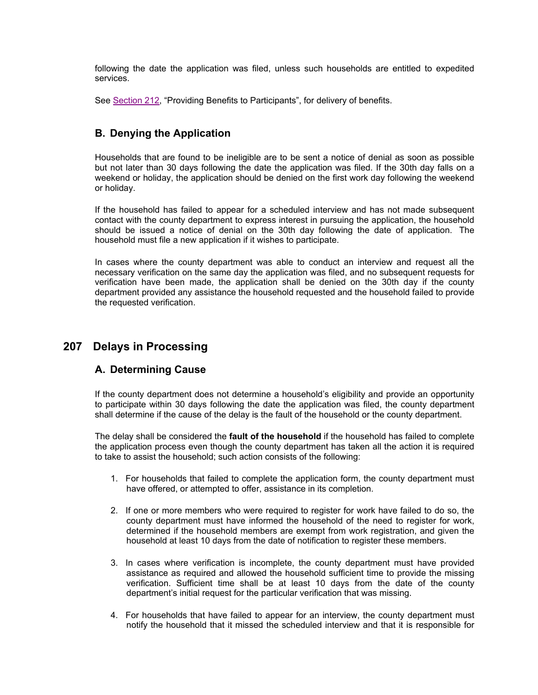following the date the application was filed, unless such households are entitled to expedited services.

See Section 212, "Providing Benefits to Participants", for delivery of benefits.

## **B. Denying the Application**

Households that are found to be ineligible are to be sent a notice of denial as soon as possible but not later than 30 days following the date the application was filed. If the 30th day falls on a weekend or holiday, the application should be denied on the first work day following the weekend or holiday.

If the household has failed to appear for a scheduled interview and has not made subsequent contact with the county department to express interest in pursuing the application, the household should be issued a notice of denial on the 30th day following the date of application. The household must file a new application if it wishes to participate.

In cases where the county department was able to conduct an interview and request all the necessary verification on the same day the application was filed, and no subsequent requests for verification have been made, the application shall be denied on the 30th day if the county department provided any assistance the household requested and the household failed to provide the requested verification.

# **207 Delays in Processing**

## **A. Determining Cause**

If the county department does not determine a household's eligibility and provide an opportunity to participate within 30 days following the date the application was filed, the county department shall determine if the cause of the delay is the fault of the household or the county department.

The delay shall be considered the **fault of the household** if the household has failed to complete the application process even though the county department has taken all the action it is required to take to assist the household; such action consists of the following:

- 1. For households that failed to complete the application form, the county department must have offered, or attempted to offer, assistance in its completion.
- 2. If one or more members who were required to register for work have failed to do so, the county department must have informed the household of the need to register for work, determined if the household members are exempt from work registration, and given the household at least 10 days from the date of notification to register these members.
- 3. In cases where verification is incomplete, the county department must have provided assistance as required and allowed the household sufficient time to provide the missing verification. Sufficient time shall be at least 10 days from the date of the county department's initial request for the particular verification that was missing.
- 4. For households that have failed to appear for an interview, the county department must notify the household that it missed the scheduled interview and that it is responsible for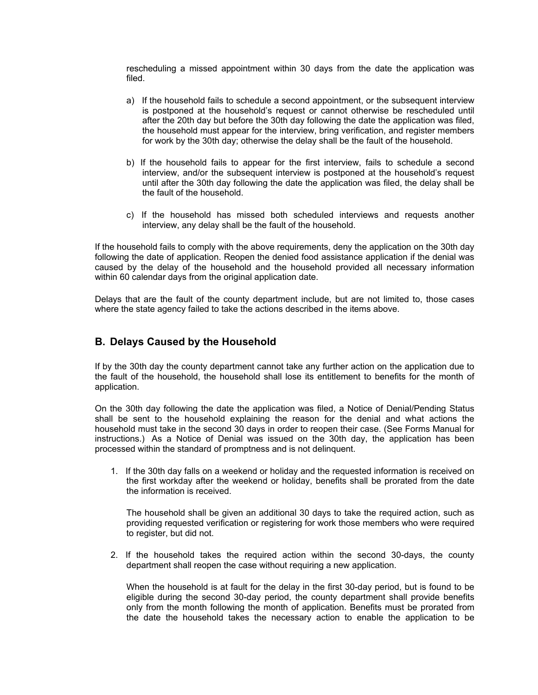rescheduling a missed appointment within 30 days from the date the application was filed.

- a) If the household fails to schedule a second appointment, or the subsequent interview is postponed at the household's request or cannot otherwise be rescheduled until after the 20th day but before the 30th day following the date the application was filed, the household must appear for the interview, bring verification, and register members for work by the 30th day; otherwise the delay shall be the fault of the household.
- b) If the household fails to appear for the first interview, fails to schedule a second interview, and/or the subsequent interview is postponed at the household's request until after the 30th day following the date the application was filed, the delay shall be the fault of the household.
- c) If the household has missed both scheduled interviews and requests another interview, any delay shall be the fault of the household.

If the household fails to comply with the above requirements, deny the application on the 30th day following the date of application. Reopen the denied food assistance application if the denial was caused by the delay of the household and the household provided all necessary information within 60 calendar days from the original application date.

Delays that are the fault of the county department include, but are not limited to, those cases where the state agency failed to take the actions described in the items above.

### **B. Delays Caused by the Household**

If by the 30th day the county department cannot take any further action on the application due to the fault of the household, the household shall lose its entitlement to benefits for the month of application.

On the 30th day following the date the application was filed, a Notice of Denial/Pending Status shall be sent to the household explaining the reason for the denial and what actions the household must take in the second 30 days in order to reopen their case. (See Forms Manual for instructions.) As a Notice of Denial was issued on the 30th day, the application has been processed within the standard of promptness and is not delinquent.

1. If the 30th day falls on a weekend or holiday and the requested information is received on the first workday after the weekend or holiday, benefits shall be prorated from the date the information is received.

The household shall be given an additional 30 days to take the required action, such as providing requested verification or registering for work those members who were required to register, but did not.

2. If the household takes the required action within the second 30-days, the county department shall reopen the case without requiring a new application.

When the household is at fault for the delay in the first 30-day period, but is found to be eligible during the second 30-day period, the county department shall provide benefits only from the month following the month of application. Benefits must be prorated from the date the household takes the necessary action to enable the application to be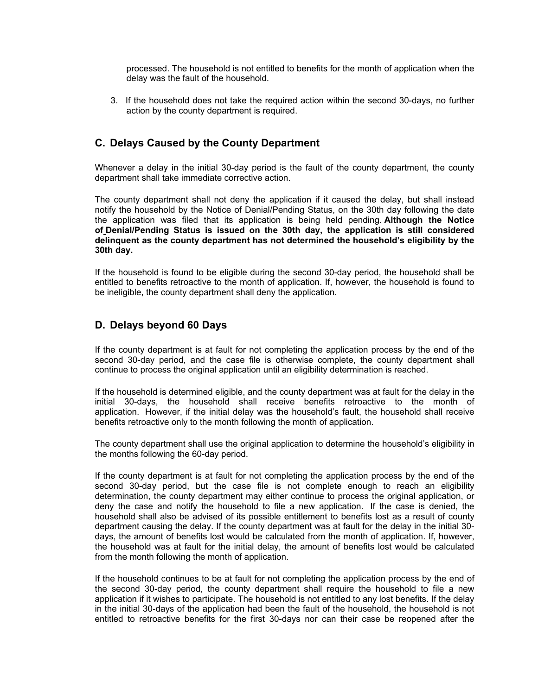processed. The household is not entitled to benefits for the month of application when the delay was the fault of the household.

3. If the household does not take the required action within the second 30-days, no further action by the county department is required.

### **C. Delays Caused by the County Department**

Whenever a delay in the initial 30-day period is the fault of the county department, the county department shall take immediate corrective action.

The county department shall not deny the application if it caused the delay, but shall instead notify the household by the Notice of Denial/Pending Status, on the 30th day following the date the application was filed that its application is being held pending. **Although the Notice of Denial/Pending Status is issued on the 30th day, the application is still considered delinquent as the county department has not determined the household's eligibility by the 30th day.**

If the household is found to be eligible during the second 30-day period, the household shall be entitled to benefits retroactive to the month of application. If, however, the household is found to be ineligible, the county department shall deny the application.

### **D. Delays beyond 60 Days**

If the county department is at fault for not completing the application process by the end of the second 30-day period, and the case file is otherwise complete, the county department shall continue to process the original application until an eligibility determination is reached.

If the household is determined eligible, and the county department was at fault for the delay in the initial 30-days, the household shall receive benefits retroactive to the month of application. However, if the initial delay was the household's fault, the household shall receive benefits retroactive only to the month following the month of application.

The county department shall use the original application to determine the household's eligibility in the months following the 60-day period.

If the county department is at fault for not completing the application process by the end of the second 30-day period, but the case file is not complete enough to reach an eligibility determination, the county department may either continue to process the original application, or deny the case and notify the household to file a new application. If the case is denied, the household shall also be advised of its possible entitlement to benefits lost as a result of county department causing the delay. If the county department was at fault for the delay in the initial 30 days, the amount of benefits lost would be calculated from the month of application. If, however, the household was at fault for the initial delay, the amount of benefits lost would be calculated from the month following the month of application.

If the household continues to be at fault for not completing the application process by the end of the second 30-day period, the county department shall require the household to file a new application if it wishes to participate. The household is not entitled to any lost benefits. If the delay in the initial 30-days of the application had been the fault of the household, the household is not entitled to retroactive benefits for the first 30-days nor can their case be reopened after the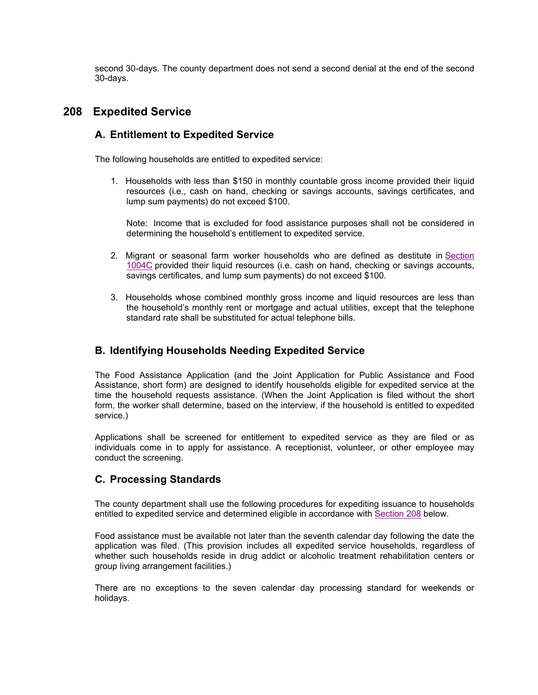second 30-days. The county department does not send a second denial at the end of the second 30-days.

## **208 Expedited Service**

## **A. Entitlement to Expedited Service**

The following households are entitled to expedited service:

1. Households with less than \$150 in monthly countable gross income provided their liquid resources (i.e., cash on hand, checking or savings accounts, savings certificates, and lump sum payments) do not exceed \$100.

Note: Income that is excluded for food assistance purposes shall not be considered in determining the household's entitlement to expedited service.

- 2. Migrant or seasonal farm worker households who are defined as destitute in Section 1004C provided their liquid resources (i.e. cash on hand, checking or savings accounts, savings certificates, and lump sum payments) do not exceed \$100.
- 3. Households whose combined monthly gross income and liquid resources are less than the household's monthly rent or mortgage and actual utilities, except that the telephone standard rate shall be substituted for actual telephone bills.

## **B. Identifying Households Needing Expedited Service**

The Food Assistance Application (and the Joint Application for Public Assistance and Food Assistance, short form) are designed to identify households eligible for expedited service at the time the household requests assistance. (When the Joint Application is filed without the short form, the worker shall determine, based on the interview, if the household is entitled to expedited service.)

Applications shall be screened for entitlement to expedited service as they are filed or as individuals come in to apply for assistance. A receptionist, volunteer, or other employee may conduct the screening.

## **C. Processing Standards**

The county department shall use the following procedures for expediting issuance to households entitled to expedited service and determined eligible in accordance with Section 208 below.

Food assistance must be available not later than the seventh calendar day following the date the application was filed. (This provision includes all expedited service households, regardless of whether such households reside in drug addict or alcoholic treatment rehabilitation centers or group living arrangement facilities.)

There are no exceptions to the seven calendar day processing standard for weekends or holidays.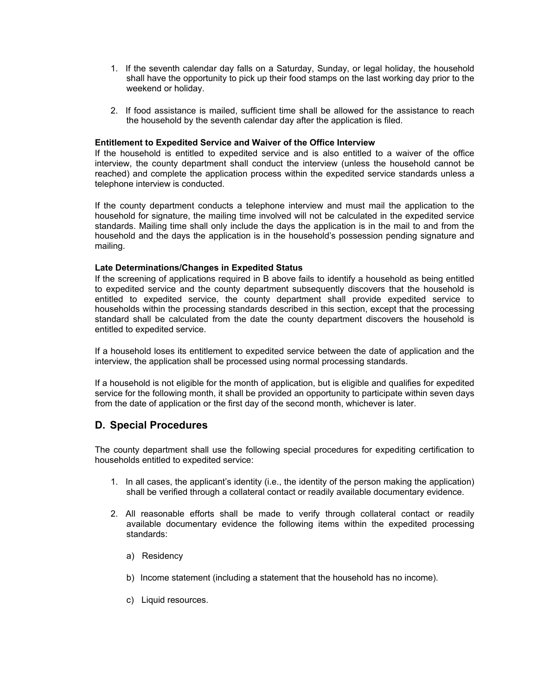- 1. If the seventh calendar day falls on a Saturday, Sunday, or legal holiday, the household shall have the opportunity to pick up their food stamps on the last working day prior to the weekend or holiday.
- 2. If food assistance is mailed, sufficient time shall be allowed for the assistance to reach the household by the seventh calendar day after the application is filed.

#### **Entitlement to Expedited Service and Waiver of the Office Interview**

If the household is entitled to expedited service and is also entitled to a waiver of the office interview, the county department shall conduct the interview (unless the household cannot be reached) and complete the application process within the expedited service standards unless a telephone interview is conducted.

If the county department conducts a telephone interview and must mail the application to the household for signature, the mailing time involved will not be calculated in the expedited service standards. Mailing time shall only include the days the application is in the mail to and from the household and the days the application is in the household's possession pending signature and mailing.

#### **Late Determinations/Changes in Expedited Status**

If the screening of applications required in B above fails to identify a household as being entitled to expedited service and the county department subsequently discovers that the household is entitled to expedited service, the county department shall provide expedited service to households within the processing standards described in this section, except that the processing standard shall be calculated from the date the county department discovers the household is entitled to expedited service.

If a household loses its entitlement to expedited service between the date of application and the interview, the application shall be processed using normal processing standards.

If a household is not eligible for the month of application, but is eligible and qualifies for expedited service for the following month, it shall be provided an opportunity to participate within seven days from the date of application or the first day of the second month, whichever is later.

### **D. Special Procedures**

The county department shall use the following special procedures for expediting certification to households entitled to expedited service:

- 1. In all cases, the applicant's identity (i.e., the identity of the person making the application) shall be verified through a collateral contact or readily available documentary evidence.
- 2. All reasonable efforts shall be made to verify through collateral contact or readily available documentary evidence the following items within the expedited processing standards:
	- a) Residency
	- b) Income statement (including a statement that the household has no income).
	- c) Liquid resources.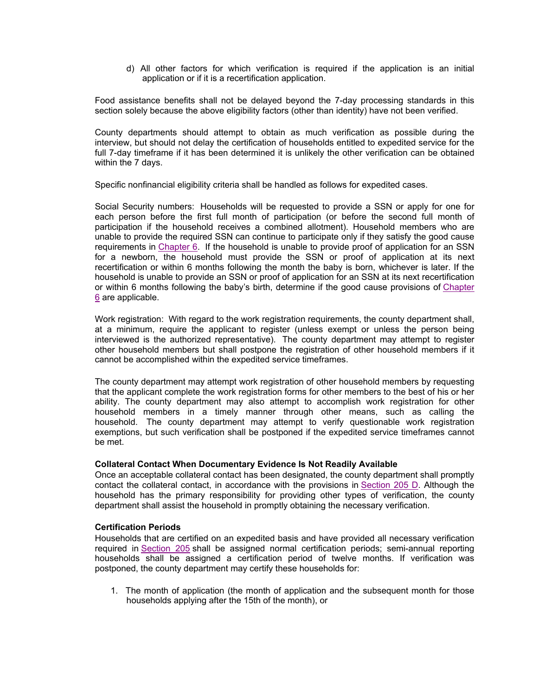d) All other factors for which verification is required if the application is an initial application or if it is a recertification application.

Food assistance benefits shall not be delayed beyond the 7-day processing standards in this section solely because the above eligibility factors (other than identity) have not been verified.

County departments should attempt to obtain as much verification as possible during the interview, but should not delay the certification of households entitled to expedited service for the full 7-day timeframe if it has been determined it is unlikely the other verification can be obtained within the 7 days.

Specific nonfinancial eligibility criteria shall be handled as follows for expedited cases.

Social Security numbers: Households will be requested to provide a SSN or apply for one for each person before the first full month of participation (or before the second full month of participation if the household receives a combined allotment). Household members who are unable to provide the required SSN can continue to participate only if they satisfy the good cause requirements in Chapter 6. If the household is unable to provide proof of application for an SSN for a newborn, the household must provide the SSN or proof of application at its next recertification or within 6 months following the month the baby is born, whichever is later. If the household is unable to provide an SSN or proof of application for an SSN at its next recertification or within 6 months following the baby's birth, determine if the good cause provisions of Chapter 6 are applicable.

Work registration: With regard to the work registration requirements, the county department shall, at a minimum, require the applicant to register (unless exempt or unless the person being interviewed is the authorized representative). The county department may attempt to register other household members but shall postpone the registration of other household members if it cannot be accomplished within the expedited service timeframes.

The county department may attempt work registration of other household members by requesting that the applicant complete the work registration forms for other members to the best of his or her ability. The county department may also attempt to accomplish work registration for other household members in a timely manner through other means, such as calling the household. The county department may attempt to verify questionable work registration exemptions, but such verification shall be postponed if the expedited service timeframes cannot be met.

### **Collateral Contact When Documentary Evidence Is Not Readily Available**

Once an acceptable collateral contact has been designated, the county department shall promptly contact the collateral contact, in accordance with the provisions in Section 205 D. Although the household has the primary responsibility for providing other types of verification, the county department shall assist the household in promptly obtaining the necessary verification.

### **Certification Periods**

Households that are certified on an expedited basis and have provided all necessary verification required in Section 205 shall be assigned normal certification periods; semi-annual reporting households shall be assigned a certification period of twelve months. If verification was postponed, the county department may certify these households for:

1. The month of application (the month of application and the subsequent month for those households applying after the 15th of the month), or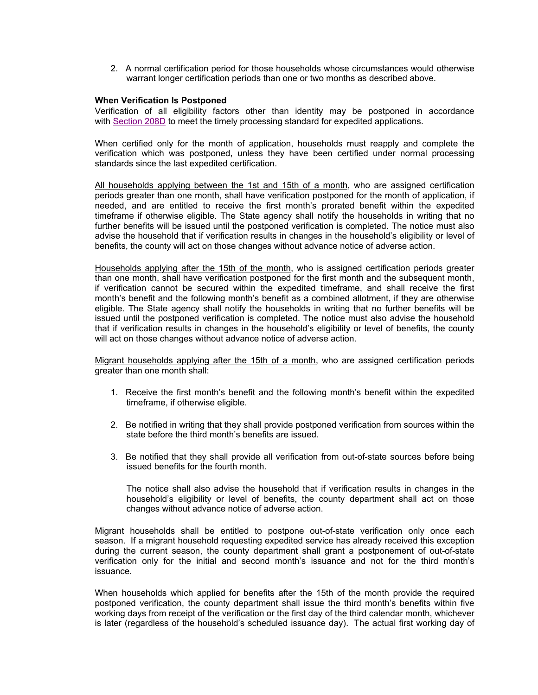2. A normal certification period for those households whose circumstances would otherwise warrant longer certification periods than one or two months as described above.

#### **When Verification Is Postponed**

Verification of all eligibility factors other than identity may be postponed in accordance with Section 208D to meet the timely processing standard for expedited applications.

When certified only for the month of application, households must reapply and complete the verification which was postponed, unless they have been certified under normal processing standards since the last expedited certification.

All households applying between the 1st and 15th of a month, who are assigned certification periods greater than one month, shall have verification postponed for the month of application, if needed, and are entitled to receive the first month's prorated benefit within the expedited timeframe if otherwise eligible. The State agency shall notify the households in writing that no further benefits will be issued until the postponed verification is completed. The notice must also advise the household that if verification results in changes in the household's eligibility or level of benefits, the county will act on those changes without advance notice of adverse action.

Households applying after the 15th of the month, who is assigned certification periods greater than one month, shall have verification postponed for the first month and the subsequent month, if verification cannot be secured within the expedited timeframe, and shall receive the first month's benefit and the following month's benefit as a combined allotment, if they are otherwise eligible. The State agency shall notify the households in writing that no further benefits will be issued until the postponed verification is completed. The notice must also advise the household that if verification results in changes in the household's eligibility or level of benefits, the county will act on those changes without advance notice of adverse action.

Migrant households applying after the 15th of a month, who are assigned certification periods greater than one month shall:

- 1. Receive the first month's benefit and the following month's benefit within the expedited timeframe, if otherwise eligible.
- 2. Be notified in writing that they shall provide postponed verification from sources within the state before the third month's benefits are issued.
- 3. Be notified that they shall provide all verification from out-of-state sources before being issued benefits for the fourth month.

The notice shall also advise the household that if verification results in changes in the household's eligibility or level of benefits, the county department shall act on those changes without advance notice of adverse action.

Migrant households shall be entitled to postpone out-of-state verification only once each season. If a migrant household requesting expedited service has already received this exception during the current season, the county department shall grant a postponement of out-of-state verification only for the initial and second month's issuance and not for the third month's issuance.

When households which applied for benefits after the 15th of the month provide the required postponed verification, the county department shall issue the third month's benefits within five working days from receipt of the verification or the first day of the third calendar month, whichever is later (regardless of the household's scheduled issuance day). The actual first working day of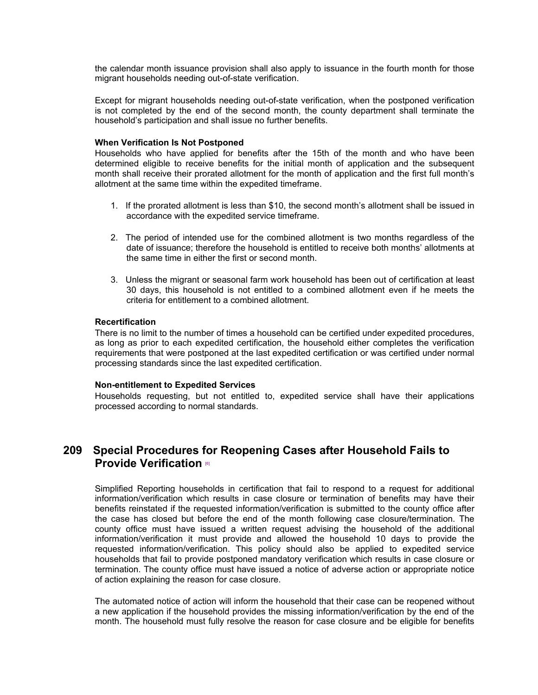the calendar month issuance provision shall also apply to issuance in the fourth month for those migrant households needing out-of-state verification.

Except for migrant households needing out-of-state verification, when the postponed verification is not completed by the end of the second month, the county department shall terminate the household's participation and shall issue no further benefits.

#### **When Verification Is Not Postponed**

Households who have applied for benefits after the 15th of the month and who have been determined eligible to receive benefits for the initial month of application and the subsequent month shall receive their prorated allotment for the month of application and the first full month's allotment at the same time within the expedited timeframe.

- 1. If the prorated allotment is less than \$10, the second month's allotment shall be issued in accordance with the expedited service timeframe.
- 2. The period of intended use for the combined allotment is two months regardless of the date of issuance; therefore the household is entitled to receive both months' allotments at the same time in either the first or second month.
- 3. Unless the migrant or seasonal farm work household has been out of certification at least 30 days, this household is not entitled to a combined allotment even if he meets the criteria for entitlement to a combined allotment.

#### **Recertification**

There is no limit to the number of times a household can be certified under expedited procedures, as long as prior to each expedited certification, the household either completes the verification requirements that were postponed at the last expedited certification or was certified under normal processing standards since the last expedited certification.

#### **Non-entitlement to Expedited Services**

Households requesting, but not entitled to, expedited service shall have their applications processed according to normal standards.

# **209 Special Procedures for Reopening Cases after Household Fails to Provide Verification** [6]

Simplified Reporting households in certification that fail to respond to a request for additional information/verification which results in case closure or termination of benefits may have their benefits reinstated if the requested information/verification is submitted to the county office after the case has closed but before the end of the month following case closure/termination. The county office must have issued a written request advising the household of the additional information/verification it must provide and allowed the household 10 days to provide the requested information/verification. This policy should also be applied to expedited service households that fail to provide postponed mandatory verification which results in case closure or termination. The county office must have issued a notice of adverse action or appropriate notice of action explaining the reason for case closure.

The automated notice of action will inform the household that their case can be reopened without a new application if the household provides the missing information/verification by the end of the month. The household must fully resolve the reason for case closure and be eligible for benefits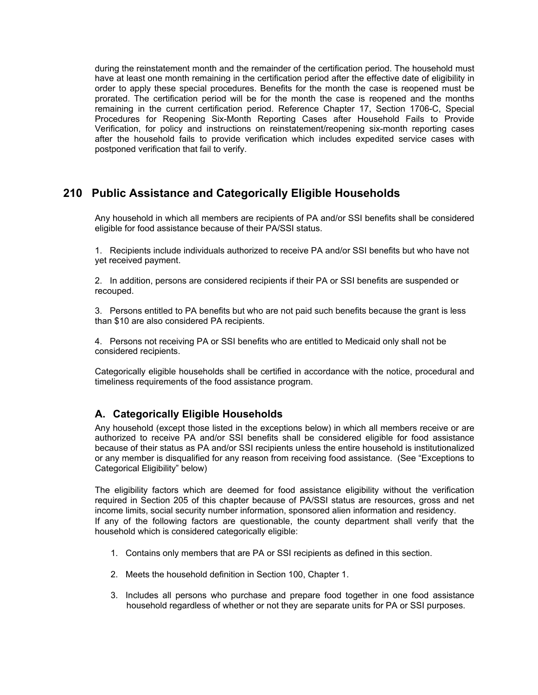during the reinstatement month and the remainder of the certification period. The household must have at least one month remaining in the certification period after the effective date of eligibility in order to apply these special procedures. Benefits for the month the case is reopened must be prorated. The certification period will be for the month the case is reopened and the months remaining in the current certification period. Reference Chapter 17, Section 1706-C, Special Procedures for Reopening Six-Month Reporting Cases after Household Fails to Provide Verification, for policy and instructions on reinstatement/reopening six-month reporting cases after the household fails to provide verification which includes expedited service cases with postponed verification that fail to verify.

# **210 Public Assistance and Categorically Eligible Households**

Any household in which all members are recipients of PA and/or SSI benefits shall be considered eligible for food assistance because of their PA/SSI status.

1. Recipients include individuals authorized to receive PA and/or SSI benefits but who have not yet received payment.

2. In addition, persons are considered recipients if their PA or SSI benefits are suspended or recouped.

3. Persons entitled to PA benefits but who are not paid such benefits because the grant is less than \$10 are also considered PA recipients.

4. Persons not receiving PA or SSI benefits who are entitled to Medicaid only shall not be considered recipients.

Categorically eligible households shall be certified in accordance with the notice, procedural and timeliness requirements of the food assistance program.

## **A. Categorically Eligible Households**

Any household (except those listed in the exceptions below) in which all members receive or are authorized to receive PA and/or SSI benefits shall be considered eligible for food assistance because of their status as PA and/or SSI recipients unless the entire household is institutionalized or any member is disqualified for any reason from receiving food assistance. (See "Exceptions to Categorical Eligibility" below)

The eligibility factors which are deemed for food assistance eligibility without the verification required in Section 205 of this chapter because of PA/SSI status are resources, gross and net income limits, social security number information, sponsored alien information and residency. If any of the following factors are questionable, the county department shall verify that the household which is considered categorically eligible:

- 1. Contains only members that are PA or SSI recipients as defined in this section.
- 2. Meets the household definition in Section 100, Chapter 1.
- 3. Includes all persons who purchase and prepare food together in one food assistance household regardless of whether or not they are separate units for PA or SSI purposes.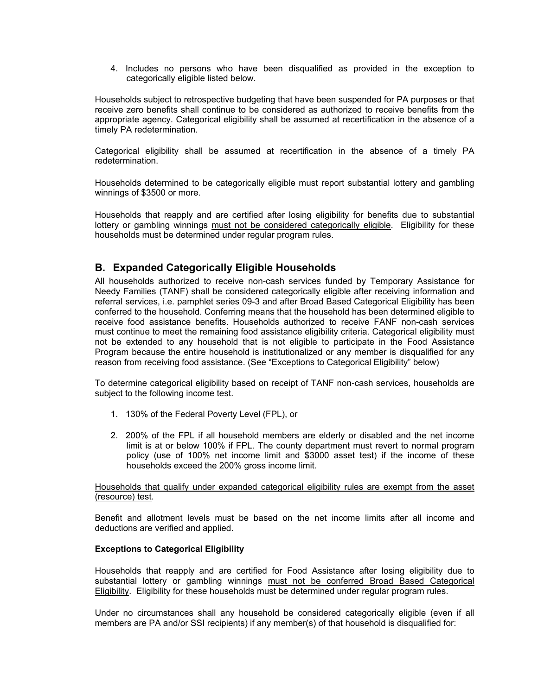4. Includes no persons who have been disqualified as provided in the exception to categorically eligible listed below.

Households subject to retrospective budgeting that have been suspended for PA purposes or that receive zero benefits shall continue to be considered as authorized to receive benefits from the appropriate agency. Categorical eligibility shall be assumed at recertification in the absence of a timely PA redetermination.

Categorical eligibility shall be assumed at recertification in the absence of a timely PA redetermination.

Households determined to be categorically eligible must report substantial lottery and gambling winnings of \$3500 or more.

Households that reapply and are certified after losing eligibility for benefits due to substantial lottery or gambling winnings must not be considered categorically eligible. Eligibility for these households must be determined under regular program rules.

### **B. Expanded Categorically Eligible Households**

All households authorized to receive non-cash services funded by Temporary Assistance for Needy Families (TANF) shall be considered categorically eligible after receiving information and referral services, i.e. pamphlet series 09-3 and after Broad Based Categorical Eligibility has been conferred to the household. Conferring means that the household has been determined eligible to receive food assistance benefits. Households authorized to receive FANF non-cash services must continue to meet the remaining food assistance eligibility criteria. Categorical eligibility must not be extended to any household that is not eligible to participate in the Food Assistance Program because the entire household is institutionalized or any member is disqualified for any reason from receiving food assistance. (See "Exceptions to Categorical Eligibility" below)

To determine categorical eligibility based on receipt of TANF non-cash services, households are subject to the following income test.

- 1. 130% of the Federal Poverty Level (FPL), or
- 2. 200% of the FPL if all household members are elderly or disabled and the net income limit is at or below 100% if FPL. The county department must revert to normal program policy (use of 100% net income limit and \$3000 asset test) if the income of these households exceed the 200% gross income limit.

Households that qualify under expanded categorical eligibility rules are exempt from the asset (resource) test.

Benefit and allotment levels must be based on the net income limits after all income and deductions are verified and applied.

### **Exceptions to Categorical Eligibility**

Households that reapply and are certified for Food Assistance after losing eligibility due to substantial lottery or gambling winnings must not be conferred Broad Based Categorical Eligibility. Eligibility for these households must be determined under regular program rules.

Under no circumstances shall any household be considered categorically eligible (even if all members are PA and/or SSI recipients) if any member(s) of that household is disqualified for: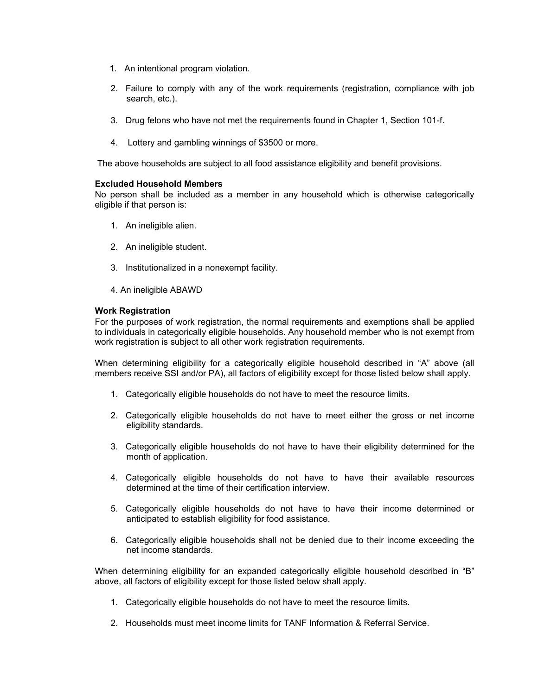- 1. An intentional program violation.
- 2. Failure to comply with any of the work requirements (registration, compliance with job search, etc.).
- 3. Drug felons who have not met the requirements found in Chapter 1, Section 101-f.
- 4. Lottery and gambling winnings of \$3500 or more.

The above households are subject to all food assistance eligibility and benefit provisions.

### **Excluded Household Members**

No person shall be included as a member in any household which is otherwise categorically eligible if that person is:

- 1. An ineligible alien.
- 2. An ineligible student.
- 3. Institutionalized in a nonexempt facility.
- 4. An ineligible ABAWD

### **Work Registration**

For the purposes of work registration, the normal requirements and exemptions shall be applied to individuals in categorically eligible households. Any household member who is not exempt from work registration is subject to all other work registration requirements.

When determining eligibility for a categorically eligible household described in "A" above (all members receive SSI and/or PA), all factors of eligibility except for those listed below shall apply.

- 1. Categorically eligible households do not have to meet the resource limits.
- 2. Categorically eligible households do not have to meet either the gross or net income eligibility standards.
- 3. Categorically eligible households do not have to have their eligibility determined for the month of application.
- 4. Categorically eligible households do not have to have their available resources determined at the time of their certification interview.
- 5. Categorically eligible households do not have to have their income determined or anticipated to establish eligibility for food assistance.
- 6. Categorically eligible households shall not be denied due to their income exceeding the net income standards.

When determining eligibility for an expanded categorically eligible household described in "B" above, all factors of eligibility except for those listed below shall apply.

- 1. Categorically eligible households do not have to meet the resource limits.
- 2. Households must meet income limits for TANF Information & Referral Service.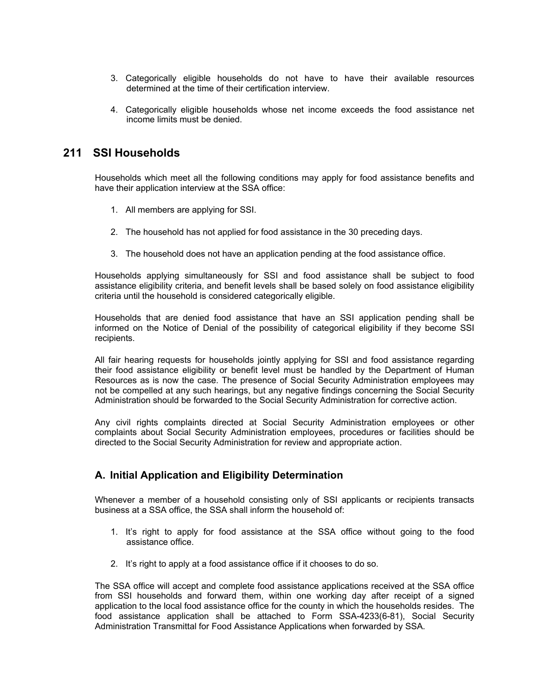- 3. Categorically eligible households do not have to have their available resources determined at the time of their certification interview.
- 4. Categorically eligible households whose net income exceeds the food assistance net income limits must be denied.

### **211 SSI Households**

Households which meet all the following conditions may apply for food assistance benefits and have their application interview at the SSA office:

- 1. All members are applying for SSI.
- 2. The household has not applied for food assistance in the 30 preceding days.
- 3. The household does not have an application pending at the food assistance office.

Households applying simultaneously for SSI and food assistance shall be subject to food assistance eligibility criteria, and benefit levels shall be based solely on food assistance eligibility criteria until the household is considered categorically eligible.

Households that are denied food assistance that have an SSI application pending shall be informed on the Notice of Denial of the possibility of categorical eligibility if they become SSI recipients.

All fair hearing requests for households jointly applying for SSI and food assistance regarding their food assistance eligibility or benefit level must be handled by the Department of Human Resources as is now the case. The presence of Social Security Administration employees may not be compelled at any such hearings, but any negative findings concerning the Social Security Administration should be forwarded to the Social Security Administration for corrective action.

Any civil rights complaints directed at Social Security Administration employees or other complaints about Social Security Administration employees, procedures or facilities should be directed to the Social Security Administration for review and appropriate action.

### **A. Initial Application and Eligibility Determination**

Whenever a member of a household consisting only of SSI applicants or recipients transacts business at a SSA office, the SSA shall inform the household of:

- 1. It's right to apply for food assistance at the SSA office without going to the food assistance office.
- 2. It's right to apply at a food assistance office if it chooses to do so.

The SSA office will accept and complete food assistance applications received at the SSA office from SSI households and forward them, within one working day after receipt of a signed application to the local food assistance office for the county in which the households resides. The food assistance application shall be attached to Form SSA-4233(6-81), Social Security Administration Transmittal for Food Assistance Applications when forwarded by SSA.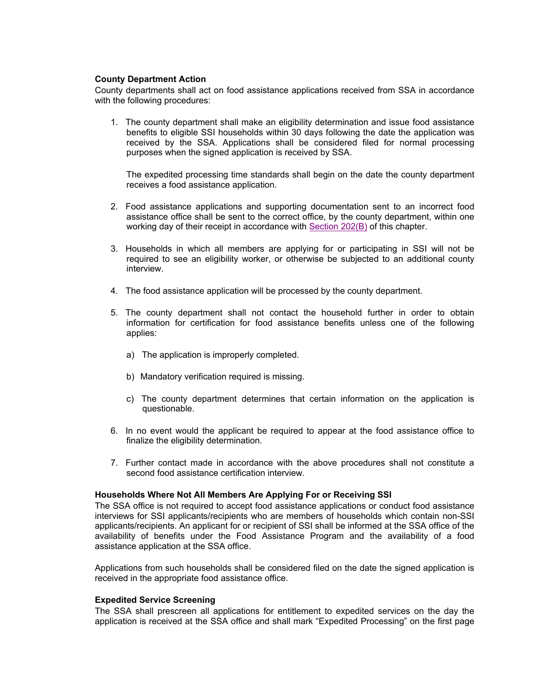### **County Department Action**

County departments shall act on food assistance applications received from SSA in accordance with the following procedures:

1. The county department shall make an eligibility determination and issue food assistance benefits to eligible SSI households within 30 days following the date the application was received by the SSA. Applications shall be considered filed for normal processing purposes when the signed application is received by SSA.

The expedited processing time standards shall begin on the date the county department receives a food assistance application.

- 2. Food assistance applications and supporting documentation sent to an incorrect food assistance office shall be sent to the correct office, by the county department, within one working day of their receipt in accordance with Section 202(B) of this chapter.
- 3. Households in which all members are applying for or participating in SSI will not be required to see an eligibility worker, or otherwise be subjected to an additional county interview.
- 4. The food assistance application will be processed by the county department.
- 5. The county department shall not contact the household further in order to obtain information for certification for food assistance benefits unless one of the following applies:
	- a) The application is improperly completed.
	- b) Mandatory verification required is missing.
	- c) The county department determines that certain information on the application is questionable.
- 6. In no event would the applicant be required to appear at the food assistance office to finalize the eligibility determination.
- 7. Further contact made in accordance with the above procedures shall not constitute a second food assistance certification interview.

#### **Households Where Not All Members Are Applying For or Receiving SSI**

The SSA office is not required to accept food assistance applications or conduct food assistance interviews for SSI applicants/recipients who are members of households which contain non-SSI applicants/recipients. An applicant for or recipient of SSI shall be informed at the SSA office of the availability of benefits under the Food Assistance Program and the availability of a food assistance application at the SSA office.

Applications from such households shall be considered filed on the date the signed application is received in the appropriate food assistance office.

#### **Expedited Service Screening**

The SSA shall prescreen all applications for entitlement to expedited services on the day the application is received at the SSA office and shall mark "Expedited Processing" on the first page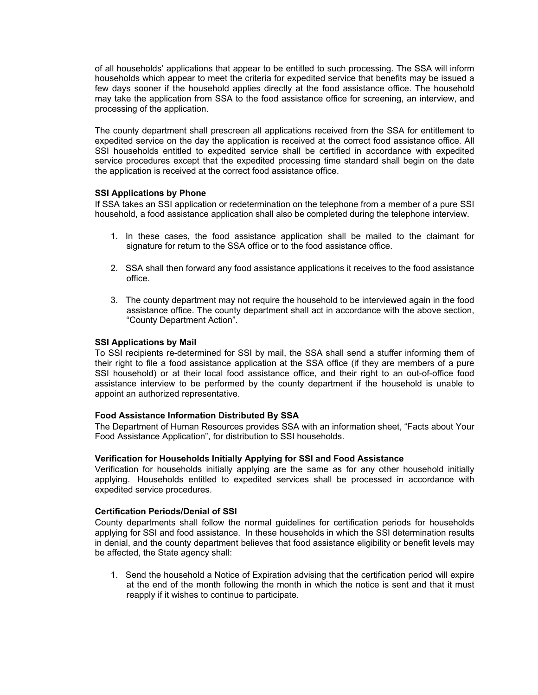of all households' applications that appear to be entitled to such processing. The SSA will inform households which appear to meet the criteria for expedited service that benefits may be issued a few days sooner if the household applies directly at the food assistance office. The household may take the application from SSA to the food assistance office for screening, an interview, and processing of the application.

The county department shall prescreen all applications received from the SSA for entitlement to expedited service on the day the application is received at the correct food assistance office. All SSI households entitled to expedited service shall be certified in accordance with expedited service procedures except that the expedited processing time standard shall begin on the date the application is received at the correct food assistance office.

### **SSI Applications by Phone**

If SSA takes an SSI application or redetermination on the telephone from a member of a pure SSI household, a food assistance application shall also be completed during the telephone interview.

- 1. In these cases, the food assistance application shall be mailed to the claimant for signature for return to the SSA office or to the food assistance office.
- 2. SSA shall then forward any food assistance applications it receives to the food assistance office.
- 3. The county department may not require the household to be interviewed again in the food assistance office. The county department shall act in accordance with the above section, "County Department Action".

### **SSI Applications by Mail**

To SSI recipients re-determined for SSI by mail, the SSA shall send a stuffer informing them of their right to file a food assistance application at the SSA office (if they are members of a pure SSI household) or at their local food assistance office, and their right to an out-of-office food assistance interview to be performed by the county department if the household is unable to appoint an authorized representative.

### **Food Assistance Information Distributed By SSA**

The Department of Human Resources provides SSA with an information sheet, "Facts about Your Food Assistance Application", for distribution to SSI households.

### **Verification for Households Initially Applying for SSI and Food Assistance**

Verification for households initially applying are the same as for any other household initially applying. Households entitled to expedited services shall be processed in accordance with expedited service procedures.

### **Certification Periods/Denial of SSI**

County departments shall follow the normal guidelines for certification periods for households applying for SSI and food assistance. In these households in which the SSI determination results in denial, and the county department believes that food assistance eligibility or benefit levels may be affected, the State agency shall:

1. Send the household a Notice of Expiration advising that the certification period will expire at the end of the month following the month in which the notice is sent and that it must reapply if it wishes to continue to participate.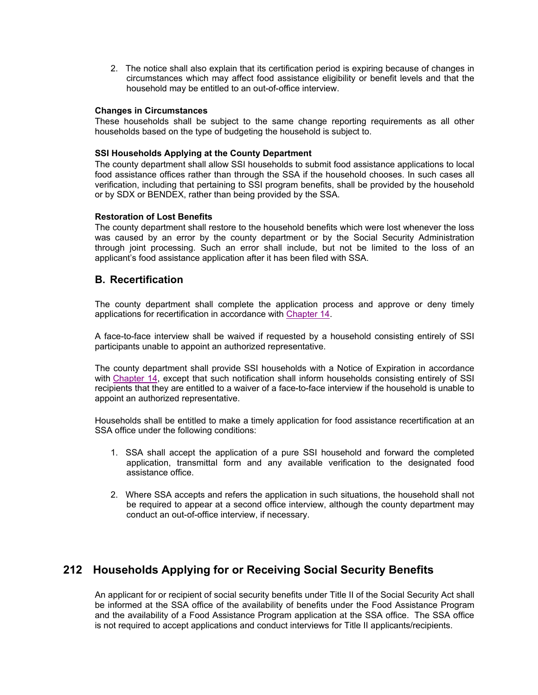2. The notice shall also explain that its certification period is expiring because of changes in circumstances which may affect food assistance eligibility or benefit levels and that the household may be entitled to an out-of-office interview.

### **Changes in Circumstances**

These households shall be subject to the same change reporting requirements as all other households based on the type of budgeting the household is subject to.

### **SSI Households Applying at the County Department**

The county department shall allow SSI households to submit food assistance applications to local food assistance offices rather than through the SSA if the household chooses. In such cases all verification, including that pertaining to SSI program benefits, shall be provided by the household or by SDX or BENDEX, rather than being provided by the SSA.

### **Restoration of Lost Benefits**

The county department shall restore to the household benefits which were lost whenever the loss was caused by an error by the county department or by the Social Security Administration through joint processing. Such an error shall include, but not be limited to the loss of an applicant's food assistance application after it has been filed with SSA.

### **B. Recertification**

The county department shall complete the application process and approve or deny timely applications for recertification in accordance with Chapter 14.

A face-to-face interview shall be waived if requested by a household consisting entirely of SSI participants unable to appoint an authorized representative.

The county department shall provide SSI households with a Notice of Expiration in accordance with Chapter 14, except that such notification shall inform households consisting entirely of SSI recipients that they are entitled to a waiver of a face-to-face interview if the household is unable to appoint an authorized representative.

Households shall be entitled to make a timely application for food assistance recertification at an SSA office under the following conditions:

- 1. SSA shall accept the application of a pure SSI household and forward the completed application, transmittal form and any available verification to the designated food assistance office.
- 2. Where SSA accepts and refers the application in such situations, the household shall not be required to appear at a second office interview, although the county department may conduct an out-of-office interview, if necessary.

# **212 Households Applying for or Receiving Social Security Benefits**

An applicant for or recipient of social security benefits under Title II of the Social Security Act shall be informed at the SSA office of the availability of benefits under the Food Assistance Program and the availability of a Food Assistance Program application at the SSA office. The SSA office is not required to accept applications and conduct interviews for Title II applicants/recipients.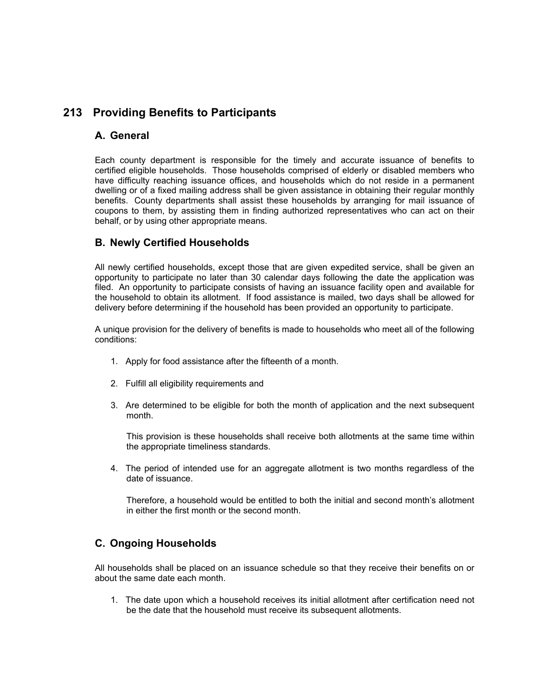# **213 Providing Benefits to Participants**

### **A. General**

Each county department is responsible for the timely and accurate issuance of benefits to certified eligible households. Those households comprised of elderly or disabled members who have difficulty reaching issuance offices, and households which do not reside in a permanent dwelling or of a fixed mailing address shall be given assistance in obtaining their regular monthly benefits. County departments shall assist these households by arranging for mail issuance of coupons to them, by assisting them in finding authorized representatives who can act on their behalf, or by using other appropriate means.

## **B. Newly Certified Households**

All newly certified households, except those that are given expedited service, shall be given an opportunity to participate no later than 30 calendar days following the date the application was filed. An opportunity to participate consists of having an issuance facility open and available for the household to obtain its allotment. If food assistance is mailed, two days shall be allowed for delivery before determining if the household has been provided an opportunity to participate.

A unique provision for the delivery of benefits is made to households who meet all of the following conditions:

- 1. Apply for food assistance after the fifteenth of a month.
- 2. Fulfill all eligibility requirements and
- 3. Are determined to be eligible for both the month of application and the next subsequent month.

This provision is these households shall receive both allotments at the same time within the appropriate timeliness standards.

4. The period of intended use for an aggregate allotment is two months regardless of the date of issuance.

Therefore, a household would be entitled to both the initial and second month's allotment in either the first month or the second month.

# **C. Ongoing Households**

All households shall be placed on an issuance schedule so that they receive their benefits on or about the same date each month.

1. The date upon which a household receives its initial allotment after certification need not be the date that the household must receive its subsequent allotments.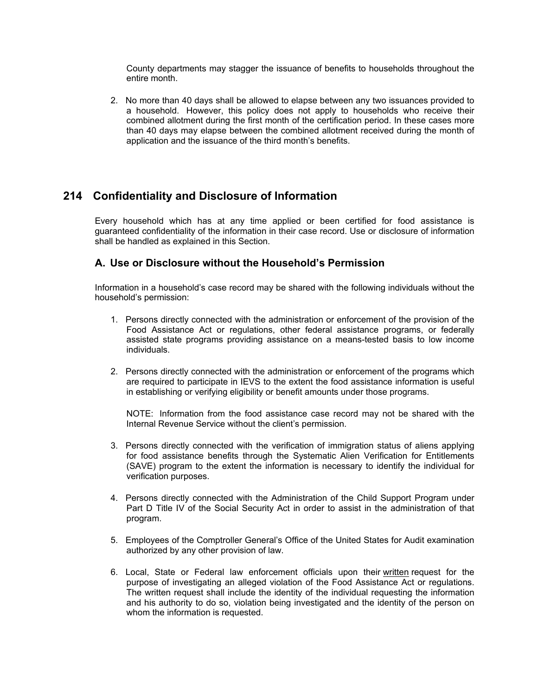County departments may stagger the issuance of benefits to households throughout the entire month.

2. No more than 40 days shall be allowed to elapse between any two issuances provided to a household. However, this policy does not apply to households who receive their combined allotment during the first month of the certification period. In these cases more than 40 days may elapse between the combined allotment received during the month of application and the issuance of the third month's benefits.

## **214 Confidentiality and Disclosure of Information**

Every household which has at any time applied or been certified for food assistance is guaranteed confidentiality of the information in their case record. Use or disclosure of information shall be handled as explained in this Section.

### **A. Use or Disclosure without the Household's Permission**

Information in a household's case record may be shared with the following individuals without the household's permission:

- 1. Persons directly connected with the administration or enforcement of the provision of the Food Assistance Act or regulations, other federal assistance programs, or federally assisted state programs providing assistance on a means-tested basis to low income individuals.
- 2. Persons directly connected with the administration or enforcement of the programs which are required to participate in IEVS to the extent the food assistance information is useful in establishing or verifying eligibility or benefit amounts under those programs.

NOTE: Information from the food assistance case record may not be shared with the Internal Revenue Service without the client's permission.

- 3. Persons directly connected with the verification of immigration status of aliens applying for food assistance benefits through the Systematic Alien Verification for Entitlements (SAVE) program to the extent the information is necessary to identify the individual for verification purposes.
- 4. Persons directly connected with the Administration of the Child Support Program under Part D Title IV of the Social Security Act in order to assist in the administration of that program.
- 5. Employees of the Comptroller General's Office of the United States for Audit examination authorized by any other provision of law.
- 6. Local, State or Federal law enforcement officials upon their written request for the purpose of investigating an alleged violation of the Food Assistance Act or regulations. The written request shall include the identity of the individual requesting the information and his authority to do so, violation being investigated and the identity of the person on whom the information is requested.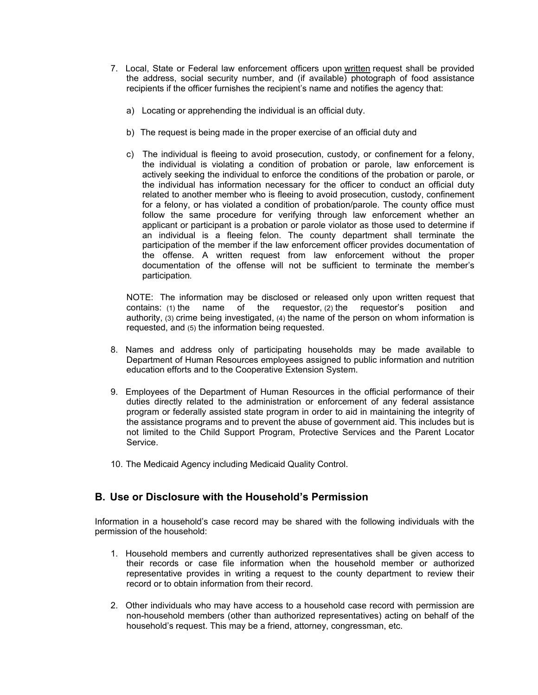- 7. Local, State or Federal law enforcement officers upon written request shall be provided the address, social security number, and (if available) photograph of food assistance recipients if the officer furnishes the recipient's name and notifies the agency that:
	- a) Locating or apprehending the individual is an official duty.
	- b) The request is being made in the proper exercise of an official duty and
	- c) The individual is fleeing to avoid prosecution, custody, or confinement for a felony, the individual is violating a condition of probation or parole, law enforcement is actively seeking the individual to enforce the conditions of the probation or parole, or the individual has information necessary for the officer to conduct an official duty related to another member who is fleeing to avoid prosecution, custody, confinement for a felony, or has violated a condition of probation/parole. The county office must follow the same procedure for verifying through law enforcement whether an applicant or participant is a probation or parole violator as those used to determine if an individual is a fleeing felon. The county department shall terminate the participation of the member if the law enforcement officer provides documentation of the offense. A written request from law enforcement without the proper documentation of the offense will not be sufficient to terminate the member's participation.

NOTE: The information may be disclosed or released only upon written request that contains: (1) the name of the requestor, (2) the requestor's position and authority, (3) crime being investigated, (4) the name of the person on whom information is requested, and (5) the information being requested.

- 8. Names and address only of participating households may be made available to Department of Human Resources employees assigned to public information and nutrition education efforts and to the Cooperative Extension System.
- 9. Employees of the Department of Human Resources in the official performance of their duties directly related to the administration or enforcement of any federal assistance program or federally assisted state program in order to aid in maintaining the integrity of the assistance programs and to prevent the abuse of government aid. This includes but is not limited to the Child Support Program, Protective Services and the Parent Locator Service.
- 10. The Medicaid Agency including Medicaid Quality Control.

## **B. Use or Disclosure with the Household's Permission**

Information in a household's case record may be shared with the following individuals with the permission of the household:

- 1. Household members and currently authorized representatives shall be given access to their records or case file information when the household member or authorized representative provides in writing a request to the county department to review their record or to obtain information from their record.
- 2. Other individuals who may have access to a household case record with permission are non-household members (other than authorized representatives) acting on behalf of the household's request. This may be a friend, attorney, congressman, etc.